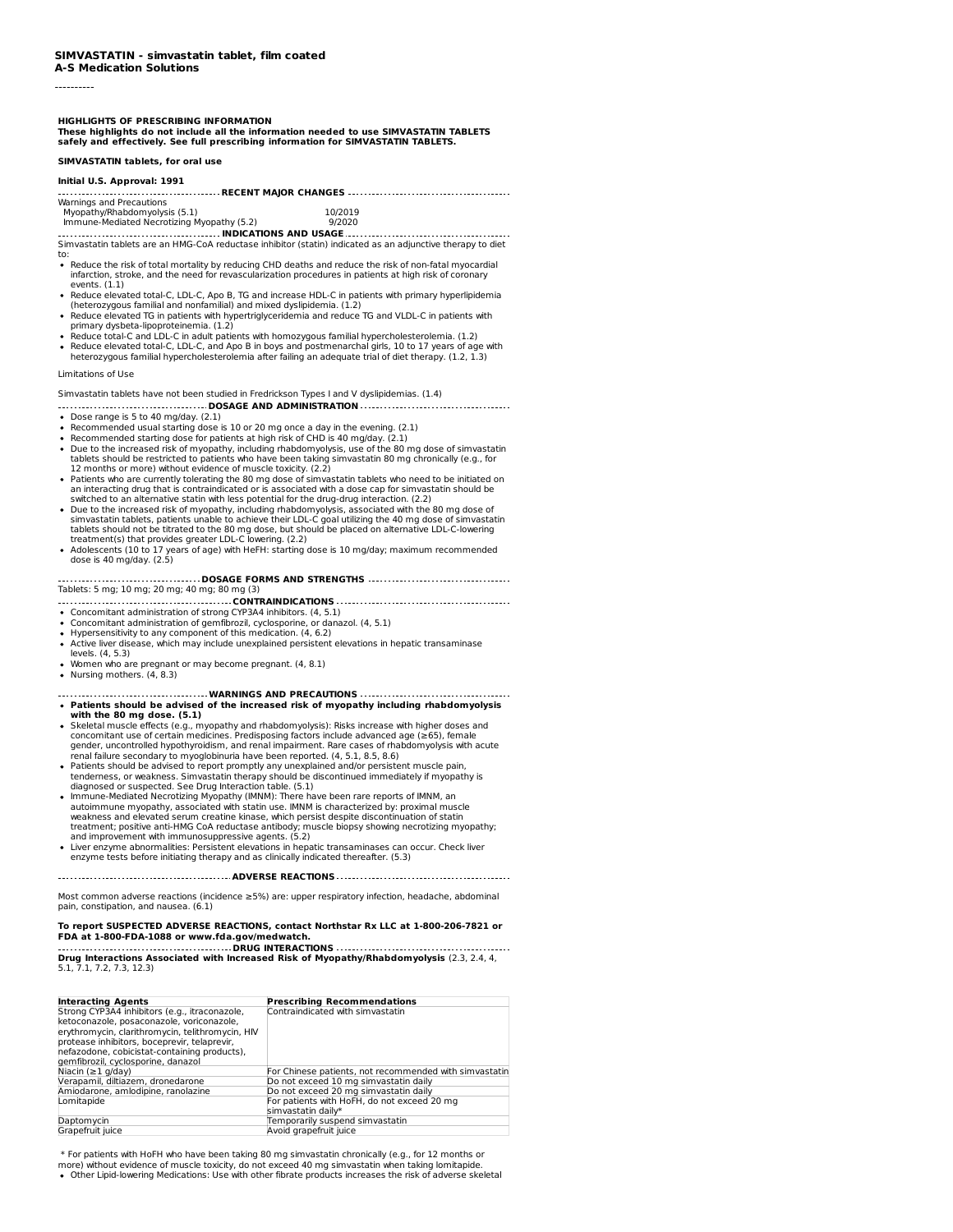# **A-S Medication Solutions**

----------

**HIGHLIGHTS OF PRESCRIBING INFORMATION**

These highlights do not include all the information needed to use SIMVASTATIN TABLETS<br>safely and effectively. See full prescribing information for SIMVASTATIN TABLETS.

**SIMVASTATIN tablets, for oral use**

### **Initial U.S. Approval: 1991**

| Warnings and Precautions |  |
|--------------------------|--|

Myopathy/Rhabdomyolysis (5.1) 10/2019 Immune-Mediated Necrotizing Myopathy (5.2) 9/2020

**INDICATIONS AND USAGE** Simvastatin tablets are an HMG-CoA reductase inhibitor (statin) indicated as an adjunctive therapy to diet to:

- Reduce the risk of total mortality by reducing CHD deaths and reduce the risk of non-fatal myocardial infarction, stroke, and the need for revascularization procedures in patients at high risk of coronary events. (1.1)
- Reduce elevated total-C, LDL-C, Apo B, TG and increase HDL-C in patients with primary hyperlipidemia (heterozygous familial and nonfamilial) and mixed dyslipidemia. (1.2)
- Reduce elevated TG in patients with hypertriglyceridemia and reduce TG and VLDL-C in patients with primary dysbeta-lipoproteinemia. (1.2)
- Reduce total-C and LDL-C in adult patients with homozygous familial hypercholesterolemia. (1.2)  $\bullet$
- Reduce elevated total-C, LDL-C, and Apo B in boys and postmenarchal girls, 10 to 17 years of age with heterozygous familial hypercholesterolemia after failing an adequate trial of diet therapy. (1.2, 1.3)

# Limitations of Use

Simvastatin tablets have not been studied in Fredrickson Types I and V dyslipidemias. (1.4) **DOSAGE AND ADMINISTRATION**

- Dose range is 5 to 40 mg/day. (2.1)
- Recommended usual starting dose is 10 or 20 mg once a day in the evening. (2.1)
- 
- Recommended starting dose for patients at high risk of CHD is 40 mg/day. (2.1)<br>Due to the increased risk of myopathy, including rhabdomyolysis, use of the 80 mg dose of simvastatin tablets should be restricted to patients who have been taking simvastatin 80 mg chronically (e.g., for 12 months or more) without evidence of muscle toxicity. (2.2)
- Patients who are currently tolerating the 80 mg dose of simvastatin tablets who need to be initiated on an interacting drug that is contraindicated or is associated with a dose cap for simvastatin should be
- switched to an alternative statin with less potential for the drug-drug interaction. (2.2)<br>Due to the increased risk of myopathy, including rhabdomyolysis, associated with the 80 mg dose of simvastatin tablets, patients unable to achieve their LDL-C goal utilizing the 40 mg dose of simvastatin<br>tablets should not be titrated to the 80 mg dose, but should be placed on alternative LDL-C-lowering<br>treatment(s) tha
- Adolescents (10 to 17 years of age) with HeFH: starting dose is 10 mg/day; maximum recommended dose is 40 mg/day. (2.5)

**DOSAGE FORMS AND STRENGTHS** Tablets: 5 mg; 10 mg; 20 mg; 40 mg; 80 mg (3) **CONTRAINDICATIONS**

- Concomitant administration of strong CYP3A4 inhibitors. (4, 5.1)
- Concomitant administration of gemfibrozil, cyclosporine, or danazol. (4, 5.1)
- Hypersensitivity to any component of this medication. (4, 6.2)
- Active liver disease, which may include unexplained persistent elevations in hepatic transaminase levels. (4, 5.3)
- Women who are pregnant or may become pregnant. (4, 8.1)
- Nursing mothers. (4, 8.3)
- **WARNINGS AND PRECAUTIONS Patients should be advised of the increased risk of myopathy including rhabdomyolysis with the 80 mg dose. (5.1)**
- Skeletal muscle effects (e.g., myopathy and rhabdomyolysis): Risks increase with higher doses and concomitant use of certain medicines. Predisposing factors include advanced age (≥65), female gender, uncontrolled hypothyroidism, and renal impairment. Rare cases of rhabdomyolysis with acute renal failure secondary to myoglobinuria have been reported. (4, 5.1, 8.5, 8.6)
- Patients should be advised to report promptly any unexplained and/or persistent muscle pain, tenderness, or weakness. Simvastatin therapy should be discontinued immediately if myopathy is diagnosed or suspected. See Drug Interaction table. (5.1)
- lmmune-Mediated Necrotizing Myopathy (IMNM): There have been rare reports of IMNM, an<br>autoimmune myopathy, associated with statin use. IMNM is characterized by: proximal muscle<br>weakness and elevated serum creatine kinase, and improvement with immunosuppressive agents. (5.2)
- Liver enzyme abnormalities: Persistent elevations in hepatic transaminases can occur. Check liver enzyme tests before initiating therapy and as clinically indicated thereafter. (5.3)

**ADVERSE REACTIONS**

Most common adverse reactions (incidence ≥5%) are: upper respiratory infection, headache, abdominal pain, constipation, and nausea. (6.1)

# To report SUSPECTED ADVERSE REACTIONS, contact Northstar Rx LLC at 1-800-206-7821 or<br>FDA at 1-800-FDA-1088 or www.fda.gov/medwatch.

**DRUG INTERACTIONS Drug Interactions Associated with Increased Risk of Myopathy/Rhabdomyolysis** (2.3, 2.4, 4, 5.1, 7.1, 7.2, 7.3, 12.3)

| <b>Interacting Agents</b>                        | <b>Prescribing Recommendations</b>                     |
|--------------------------------------------------|--------------------------------------------------------|
| Strong CYP3A4 inhibitors (e.g., itraconazole,    | Contraindicated with simvastatin                       |
| ketoconazole, posaconazole, voriconazole,        |                                                        |
| erythromycin, clarithromycin, telithromycin, HIV |                                                        |
| protease inhibitors, boceprevir, telaprevir,     |                                                        |
| nefazodone, cobicistat-containing products),     |                                                        |
| gemfibrozil, cyclosporine, danazol               |                                                        |
| Niacin ( $\geq$ 1 g/day)                         | For Chinese patients, not recommended with simvastatin |
| Verapamil, diltiazem, dronedarone                | Do not exceed 10 mg simvastatin daily                  |
| Amiodarone, amlodipine, ranolazine               | Do not exceed 20 mg simvastatin daily                  |
| Lomitapide                                       | For patients with HoFH, do not exceed 20 mg            |
|                                                  | simvastatin daily*                                     |
| Daptomycin                                       | Temporarily suspend simvastatin                        |
| Grapefruit juice                                 | Avoid grapefruit juice                                 |

\* For patients with HoFH who have been taking 80 mg simvastatin chronically (e.g., for 12 months or<br>more) without evidence of muscle toxicity, do not exceed 40 mg simvastatin when taking lomitapide.<br>• Other Lipid-lowering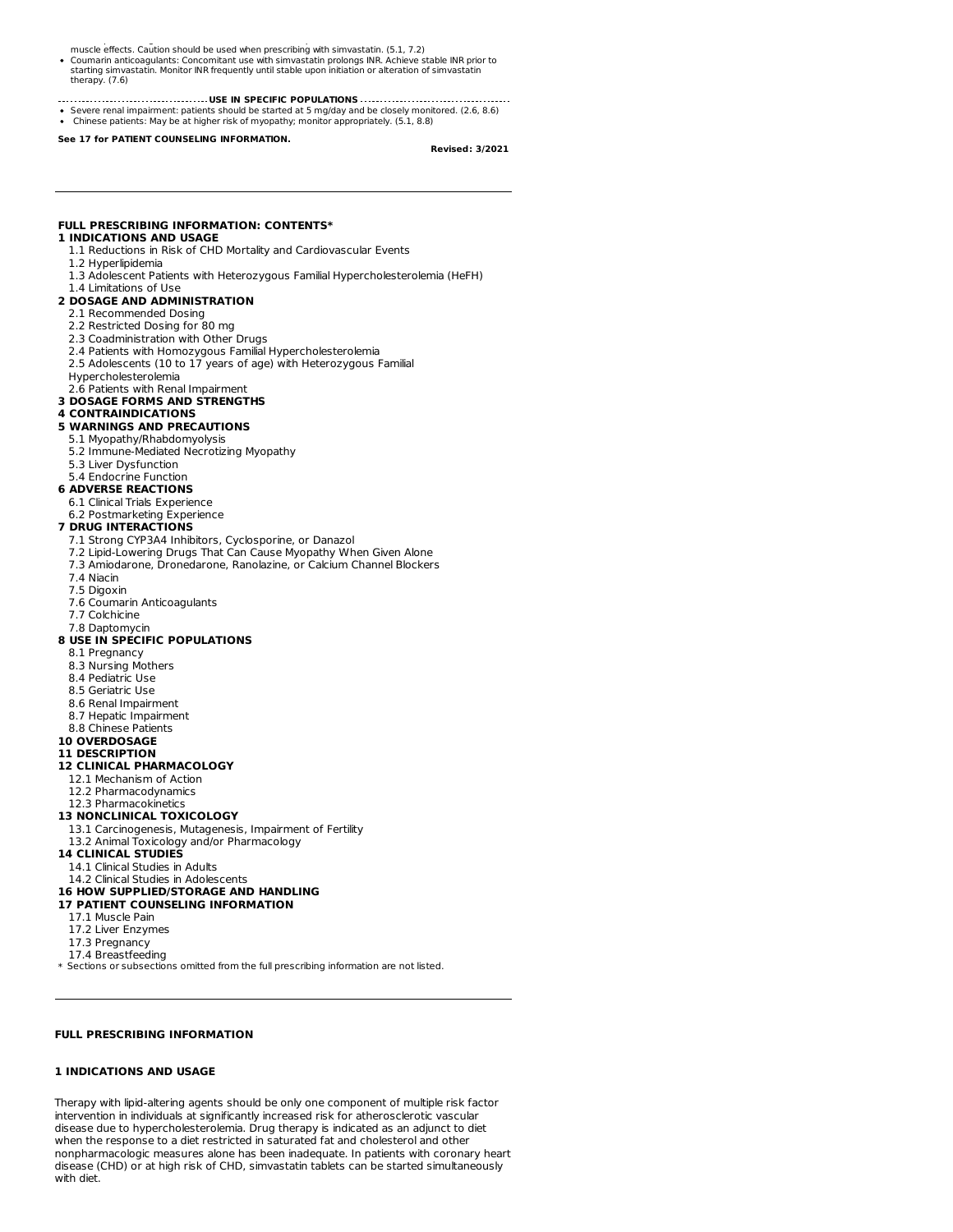.<br>Other the medications: Use with other fibrate products increases the risk of an adverse skeller effects. Cauti

- Coumarin anticoagulants: Concomitant use with simvastatin prolongs INR. Achieve stable INR prior to starting simvastatin. Monitor INR frequently until stable upon initiation or alteration of simvastatin therapy. (7.6)
- **USE IN SPECIFIC POPULATIONS**
- Severe renal impairment: patients should be started at 5 mg/day and be closely monitored. (2.6, 8.6) Chinese patients: May be at higher risk of myopathy; monitor appropriately. (5.1, 8.8)

**See 17 for PATIENT COUNSELING INFORMATION.**

#### **Revised: 3/2021**

### **FULL PRESCRIBING INFORMATION: CONTENTS\***

# **1 INDICATIONS AND USAGE**

- 1.1 Reductions in Risk of CHD Mortality and Cardiovascular Events
- 1.2 Hyperlipidemia
- 1.3 Adolescent Patients with Heterozygous Familial Hypercholesterolemia (HeFH)

#### 1.4 Limitations of Use **2 DOSAGE AND ADMINISTRATION**

- 2.1 Recommended Dosing
- 2.2 Restricted Dosing for 80 mg
- 2.3 Coadministration with Other Drugs
- 2.4 Patients with Homozygous Familial Hypercholesterolemia
- 2.5 Adolescents (10 to 17 years of age) with Heterozygous Familial
- Hypercholesterolemia

#### 2.6 Patients with Renal Impairment **3 DOSAGE FORMS AND STRENGTHS**

# **4 CONTRAINDICATIONS**

**5 WARNINGS AND PRECAUTIONS**

# 5.1 Myopathy/Rhabdomyolysis

- 5.2 Immune-Mediated Necrotizing Myopathy
- 5.3 Liver Dysfunction
- 5.4 Endocrine Function
- **6 ADVERSE REACTIONS**
- 6.1 Clinical Trials Experience
- 6.2 Postmarketing Experience

## **7 DRUG INTERACTIONS**

- 
- 7.1 Strong CYP3A4 Inhibitors, Cyclosporine, or Danazol
- 7.2 Lipid-Lowering Drugs That Can Cause Myopathy When Given Alone
- 7.3 Amiodarone, Dronedarone, Ranolazine, or Calcium Channel Blockers
- 7.4 Niacin
- 7.5 Digoxin
- 7.6 Coumarin Anticoagulants
- 7.7 Colchicine 7.8 Daptomycin

#### **8 USE IN SPECIFIC POPULATIONS**

- 8.1 Pregnancy
- 8.3 Nursing Mothers
- 8.4 Pediatric Use
- 8.5 Geriatric Use
- 8.6 Renal Impairment
- 8.7 Hepatic Impairment
- 8.8 Chinese Patients

# **10 OVERDOSAGE**

# **11 DESCRIPTION**

# **12 CLINICAL PHARMACOLOGY**

- 12.1 Mechanism of Action
- 12.2 Pharmacodynamics 12.3 Pharmacokinetics

# **13 NONCLINICAL TOXICOLOGY**

- 
- 13.1 Carcinogenesis, Mutagenesis, Impairment of Fertility 13.2 Animal Toxicology and/or Pharmacology
- **14 CLINICAL STUDIES**

# 14.1 Clinical Studies in Adults

- 14.2 Clinical Studies in Adolescents
- **16 HOW SUPPLIED/STORAGE AND HANDLING**

# **17 PATIENT COUNSELING INFORMATION**

- 17.1 Muscle Pain
- 17.2 Liver Enzymes
- 17.3 Pregnancy
- 17.4 Breastfeeding

\* Sections or subsections omitted from the full prescribing information are not listed.

# **FULL PRESCRIBING INFORMATION**

### **1 INDICATIONS AND USAGE**

Therapy with lipid-altering agents should be only one component of multiple risk factor intervention in individuals at significantly increased risk for atherosclerotic vascular disease due to hypercholesterolemia. Drug therapy is indicated as an adjunct to diet when the response to a diet restricted in saturated fat and cholesterol and other nonpharmacologic measures alone has been inadequate. In patients with coronary heart disease (CHD) or at high risk of CHD, simvastatin tablets can be started simultaneously with diet.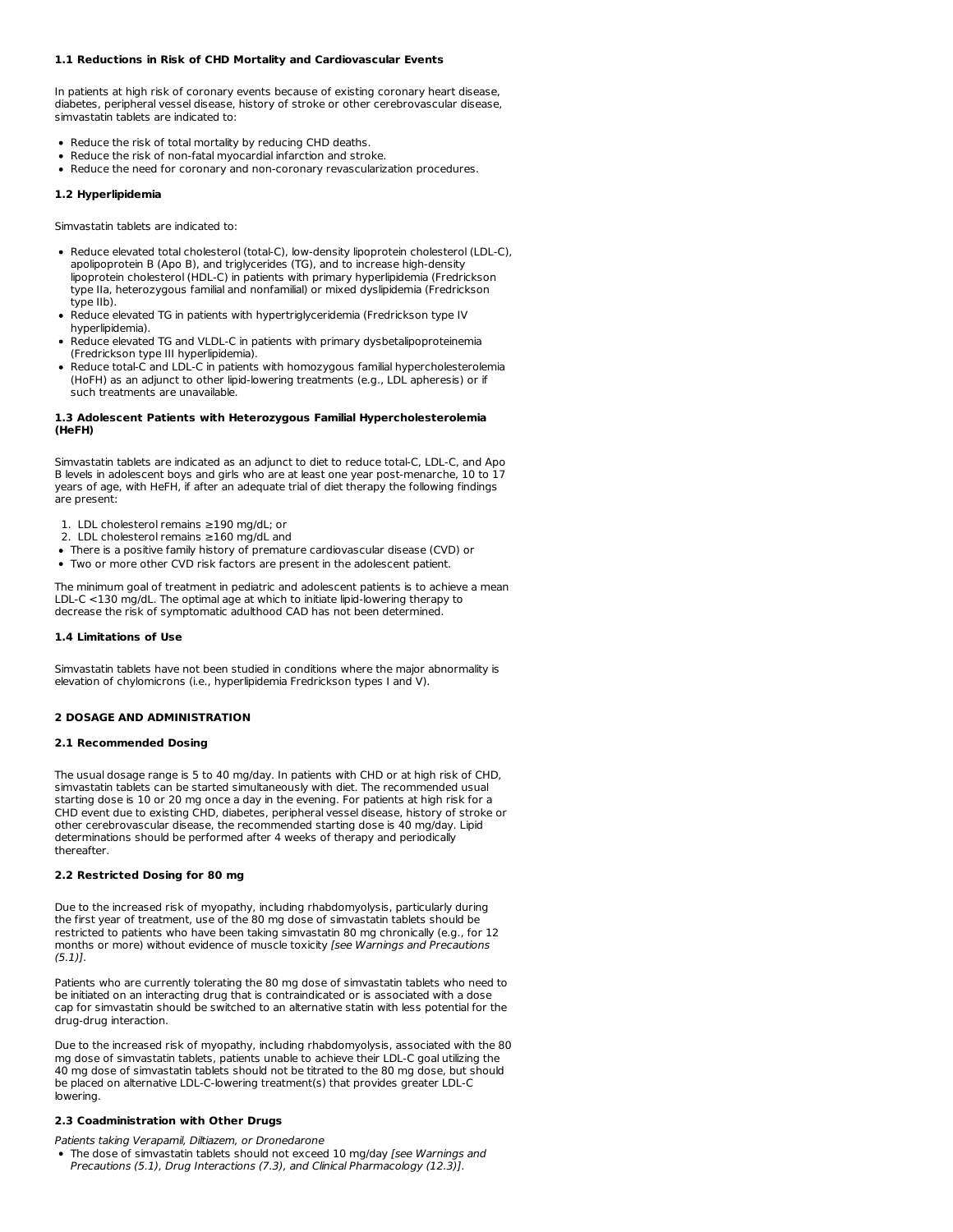### **1.1 Reductions in Risk of CHD Mortality and Cardiovascular Events**

In patients at high risk of coronary events because of existing coronary heart disease, diabetes, peripheral vessel disease, history of stroke or other cerebrovascular disease, simvastatin tablets are indicated to:

- Reduce the risk of total mortality by reducing CHD deaths.
- Reduce the risk of non-fatal myocardial infarction and stroke.
- Reduce the need for coronary and non-coronary revascularization procedures.

# **1.2 Hyperlipidemia**

Simvastatin tablets are indicated to:

- Reduce elevated total cholesterol (total-C), low-density lipoprotein cholesterol (LDL-C), apolipoprotein B (Apo B), and triglycerides (TG), and to increase high-density lipoprotein cholesterol (HDL-C) in patients with primary hyperlipidemia (Fredrickson type IIa, heterozygous familial and nonfamilial) or mixed dyslipidemia (Fredrickson type IIb).
- Reduce elevated TG in patients with hypertriglyceridemia (Fredrickson type IV hyperlipidemia).
- Reduce elevated TG and VLDL-C in patients with primary dysbetalipoproteinemia (Fredrickson type III hyperlipidemia).
- Reduce total-C and LDL-C in patients with homozygous familial hypercholesterolemia (HoFH) as an adjunct to other lipid-lowering treatments (e.g., LDL apheresis) or if such treatments are unavailable.

### **1.3 Adolescent Patients with Heterozygous Familial Hypercholesterolemia (HeFH)**

Simvastatin tablets are indicated as an adjunct to diet to reduce total-C, LDL-C, and Apo B levels in adolescent boys and girls who are at least one year post-menarche, 10 to 17 years of age, with HeFH, if after an adequate trial of diet therapy the following findings are present:

- 1. LDL cholesterol remains ≥190 mg/dL; or
- 2. LDL cholesterol remains ≥160 mg/dL and
- There is a positive family history of premature cardiovascular disease (CVD) or
- Two or more other CVD risk factors are present in the adolescent patient.

The minimum goal of treatment in pediatric and adolescent patients is to achieve a mean LDL-C <130 mg/dL. The optimal age at which to initiate lipid-lowering therapy to decrease the risk of symptomatic adulthood CAD has not been determined.

#### **1.4 Limitations of Use**

Simvastatin tablets have not been studied in conditions where the major abnormality is elevation of chylomicrons (i.e., hyperlipidemia Fredrickson types I and V).

### **2 DOSAGE AND ADMINISTRATION**

# **2.1 Recommended Dosing**

The usual dosage range is 5 to 40 mg/day. In patients with CHD or at high risk of CHD, simvastatin tablets can be started simultaneously with diet. The recommended usual starting dose is 10 or 20 mg once a day in the evening. For patients at high risk for a CHD event due to existing CHD, diabetes, peripheral vessel disease, history of stroke or other cerebrovascular disease, the recommended starting dose is 40 mg/day. Lipid determinations should be performed after 4 weeks of therapy and periodically thereafter.

### **2.2 Restricted Dosing for 80 mg**

Due to the increased risk of myopathy, including rhabdomyolysis, particularly during the first year of treatment, use of the 80 mg dose of simvastatin tablets should be restricted to patients who have been taking simvastatin 80 mg chronically (e.g., for 12 months or more) without evidence of muscle toxicity [see Warnings and Precautions  $(5.1)$ .

Patients who are currently tolerating the 80 mg dose of simvastatin tablets who need to be initiated on an interacting drug that is contraindicated or is associated with a dose cap for simvastatin should be switched to an alternative statin with less potential for the drug-drug interaction.

Due to the increased risk of myopathy, including rhabdomyolysis, associated with the 80 mg dose of simvastatin tablets, patients unable to achieve their LDL-C goal utilizing the 40 mg dose of simvastatin tablets should not be titrated to the 80 mg dose, but should be placed on alternative LDL-C-lowering treatment(s) that provides greater LDL-C lowering.

# **2.3 Coadministration with Other Drugs**

Patients taking Verapamil, Diltiazem, or Dronedarone

• The dose of simvastatin tablets should not exceed 10 mg/day [see Warnings and Precautions (5.1), Drug Interactions (7.3), and Clinical Pharmacology (12.3)].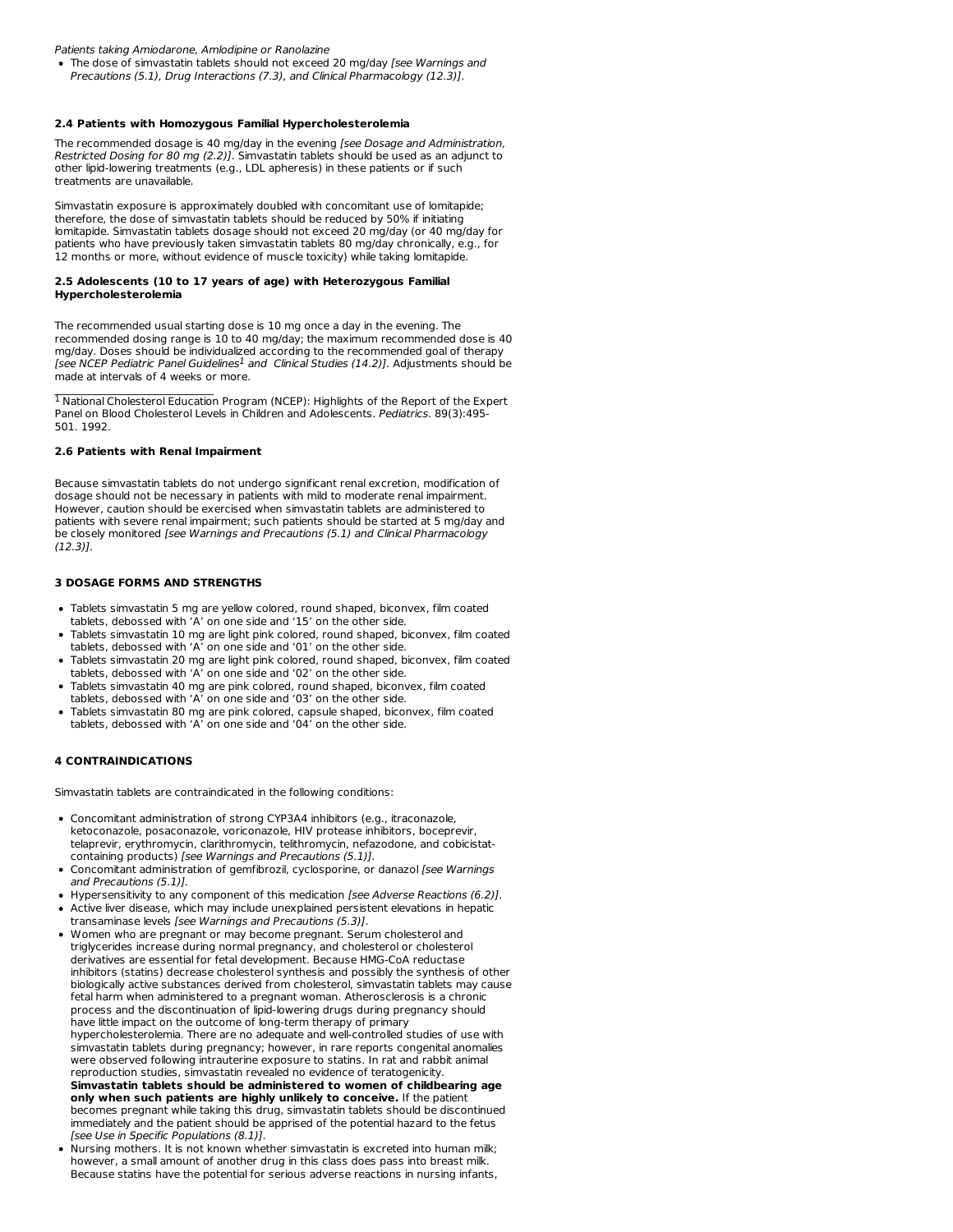Patients taking Amiodarone, Amlodipine or Ranolazine

• The dose of simvastatin tablets should not exceed 20 mg/day [see Warnings and Precautions (5.1), Drug Interactions (7.3), and Clinical Pharmacology (12.3)].

### **2.4 Patients with Homozygous Familial Hypercholesterolemia**

The recommended dosage is 40 mg/day in the evening [see Dosage and Administration, Restricted Dosing for 80 mg (2.2)]. Simvastatin tablets should be used as an adjunct to other lipid-lowering treatments (e.g., LDL apheresis) in these patients or if such treatments are unavailable.

Simvastatin exposure is approximately doubled with concomitant use of lomitapide; therefore, the dose of simvastatin tablets should be reduced by 50% ifinitiating lomitapide. Simvastatin tablets dosage should not exceed 20 mg/day (or 40 mg/day for patients who have previously taken simvastatin tablets 80 mg/day chronically, e.g., for 12 months or more, without evidence of muscle toxicity) while taking lomitapide.

#### **2.5 Adolescents (10 to 17 years of age) with Heterozygous Familial Hypercholesterolemia**

The recommended usual starting dose is 10 mg once a day in the evening. The recommended dosing range is 10 to 40 mg/day; the maximum recommended dose is 40 mg/day. Doses should be individualized according to the recommended goal of therapy [see NCEP Pediatric Panel Guidelines<sup>1</sup> and Clinical Studies (14.2)]. Adjustments should be made at intervals of 4 weeks or more.

 $<sup>1</sup>$  National Cholesterol Education Program (NCEP): Highlights of the Report of the Expert</sup> Panel on Blood Cholesterol Levels in Children and Adolescents. Pediatrics. 89(3):495- 501. 1992.

# **2.6 Patients with Renal Impairment**

 $\mathcal{L}_\text{max}$ 

Because simvastatin tablets do not undergo significant renal excretion, modification of dosage should not be necessary in patients with mild to moderate renal impairment. However, caution should be exercised when simvastatin tablets are administered to patients with severe renal impairment; such patients should be started at 5 mg/day and be closely monitored [see Warnings and Precautions (5.1) and Clinical Pharmacology (12.3)].

### **3 DOSAGE FORMS AND STRENGTHS**

- Tablets simvastatin 5 mg are yellow colored, round shaped, biconvex, film coated tablets, debossed with 'A' on one side and '15' on the other side.
- Tablets simvastatin 10 mg are light pink colored, round shaped, biconvex, film coated tablets, debossed with 'A' on one side and '01' on the other side.
- Tablets simvastatin 20 mg are light pink colored, round shaped, biconvex, film coated tablets, debossed with 'A' on one side and '02' on the other side.
- Tablets simvastatin 40 mg are pink colored, round shaped, biconvex, film coated
- tablets, debossed with 'A' on one side and '03' on the other side.
- Tablets simvastatin 80 mg are pink colored, capsule shaped, biconvex, film coated tablets, debossed with 'A' on one side and '04' on the other side.

# **4 CONTRAINDICATIONS**

Simvastatin tablets are contraindicated in the following conditions:

- Concomitant administration of strong CYP3A4 inhibitors (e.g., itraconazole, ketoconazole, posaconazole, voriconazole, HIV protease inhibitors, boceprevir, telaprevir, erythromycin, clarithromycin, telithromycin, nefazodone, and cobicistatcontaining products) [see Warnings and Precautions (5.1)].
- Concomitant administration of gemfibrozil, cyclosporine, or danazol [see Warnings and Precautions (5.1)].
- Hypersensitivity to any component of this medication [see Adverse Reactions (6.2)]. Active liver disease, which may include unexplained persistent elevations in hepatic
- transaminase levels [see Warnings and Precautions (5.3)].
- Women who are pregnant or may become pregnant. Serum cholesterol and triglycerides increase during normal pregnancy, and cholesterol or cholesterol derivatives are essential for fetal development. Because HMG-CoA reductase inhibitors (statins) decrease cholesterol synthesis and possibly the synthesis of other biologically active substances derived from cholesterol, simvastatin tablets may cause fetal harm when administered to a pregnant woman. Atherosclerosis is a chronic process and the discontinuation of lipid-lowering drugs during pregnancy should have little impact on the outcome of long-term therapy of primary hypercholesterolemia. There are no adequate and well-controlled studies of use with simvastatin tablets during pregnancy; however, in rare reports congenital anomalies were observed following intrauterine exposure to statins. In rat and rabbit animal reproduction studies, simvastatin revealed no evidence of teratogenicity. **Simvastatin tablets should be administered to women of childbearing age only when such patients are highly unlikely to conceive.** If the patient becomes pregnant while taking this drug, simvastatin tablets should be discontinued immediately and the patient should be apprised of the potential hazard to the fetus [see Use in Specific Populations (8.1)].
- Nursing mothers. It is not known whether simvastatin is excreted into human milk; however, a small amount of another drug in this class does pass into breast milk. Because statins have the potential for serious adverse reactions in nursing infants,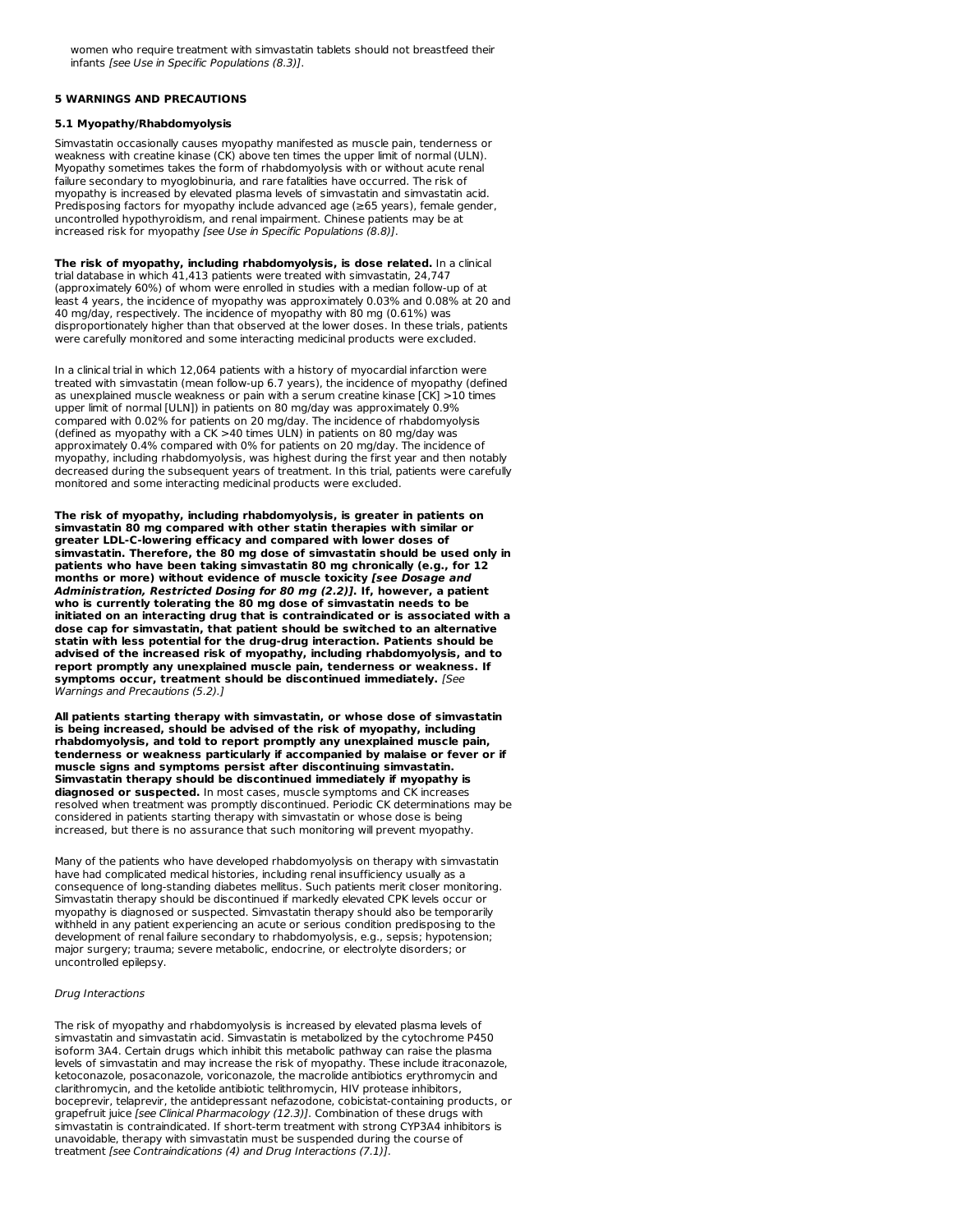women who require treatment with simvastatin tablets should not breastfeed their infants [see Use in Specific Populations (8.3)].

### **5 WARNINGS AND PRECAUTIONS**

### **5.1 Myopathy/Rhabdomyolysis**

Simvastatin occasionally causes myopathy manifested as muscle pain, tenderness or weakness with creatine kinase (CK) above ten times the upper limit of normal (ULN). Myopathy sometimes takes the form of rhabdomyolysis with or without acute renal failure secondary to myoglobinuria, and rare fatalities have occurred. The risk of myopathy is increased by elevated plasma levels of simvastatin and simvastatin acid. Predisposing factors for myopathy include advanced age (≥65 years), female gender, uncontrolled hypothyroidism, and renal impairment. Chinese patients may be at increased risk for myopathy [see Use in Specific Populations (8.8)].

**The risk of myopathy, including rhabdomyolysis, is dose related.** In a clinical trial database in which 41,413 patients were treated with simvastatin, 24,747 (approximately 60%) of whom were enrolled in studies with a median follow-up of at least 4 years, the incidence of myopathy was approximately 0.03% and 0.08% at 20 and 40 mg/day, respectively. The incidence of myopathy with 80 mg (0.61%) was disproportionately higher than that observed at the lower doses. In these trials, patients were carefully monitored and some interacting medicinal products were excluded.

In a clinical trial in which 12,064 patients with a history of myocardial infarction were treated with simvastatin (mean follow-up 6.7 years), the incidence of myopathy (defined as unexplained muscle weakness or pain with a serum creatine kinase [CK] >10 times upper limit of normal [ULN]) in patients on 80 mg/day was approximately 0.9% compared with 0.02% for patients on 20 mg/day. The incidence of rhabdomyolysis (defined as myopathy with a CK >40 times ULN) in patients on 80 mg/day was approximately 0.4% compared with 0% for patients on 20 mg/day. The incidence of myopathy, including rhabdomyolysis, was highest during the first year and then notably decreased during the subsequent years of treatment. In this trial, patients were carefully monitored and some interacting medicinal products were excluded.

**The risk of myopathy, including rhabdomyolysis, is greater in patients on simvastatin 80 mg compared with other statin therapies with similar or greater LDL-C-lowering efficacy and compared with lower doses of simvastatin. Therefore, the 80 mg dose of simvastatin should be used only in patients who have been taking simvastatin 80 mg chronically (e.g., for 12 months or more) without evidence of muscle toxicity [see Dosage and Administration, Restricted Dosing for 80 mg (2.2)]. If, however, a patient who is currently tolerating the 80 mg dose of simvastatin needs to be initiated on an interacting drug that is contraindicated or is associated with a dose cap for simvastatin, that patient should be switched to an alternative statin with less potential for the drug-drug interaction. Patients should be advised of the increased risk of myopathy, including rhabdomyolysis, and to report promptly any unexplained muscle pain, tenderness or weakness. If symptoms occur, treatment should be discontinued immediately.** [See Warnings and Precautions (5.2).]

**All patients starting therapy with simvastatin, or whose dose of simvastatin is being increased, should be advised of the risk of myopathy, including rhabdomyolysis, and told to report promptly any unexplained muscle pain, tenderness or weakness particularly if accompanied by malaise or fever or if muscle signs and symptoms persist after discontinuing simvastatin. Simvastatin therapy should be discontinued immediately if myopathy is diagnosed or suspected.** In most cases, muscle symptoms and CK increases resolved when treatment was promptly discontinued. Periodic CK determinations may be considered in patients starting therapy with simvastatin or whose dose is being increased, but there is no assurance that such monitoring will prevent myopathy.

Many of the patients who have developed rhabdomyolysis on therapy with simvastatin have had complicated medical histories, including renal insufficiency usually as a consequence of long-standing diabetes mellitus. Such patients merit closer monitoring. Simvastatin therapy should be discontinued if markedly elevated CPK levels occur or myopathy is diagnosed or suspected. Simvastatin therapy should also be temporarily withheld in any patient experiencing an acute or serious condition predisposing to the development of renal failure secondary to rhabdomyolysis, e.g., sepsis; hypotension; major surgery; trauma; severe metabolic, endocrine, or electrolyte disorders; or uncontrolled epilepsy.

### Drug Interactions

The risk of myopathy and rhabdomyolysis is increased by elevated plasma levels of simvastatin and simvastatin acid. Simvastatin is metabolized by the cytochrome P450 isoform 3A4. Certain drugs which inhibit this metabolic pathway can raise the plasma levels of simvastatin and may increase the risk of myopathy. These include itraconazole, ketoconazole, posaconazole, voriconazole, the macrolide antibiotics erythromycin and clarithromycin, and the ketolide antibiotic telithromycin, HIV protease inhibitors, boceprevir, telaprevir, the antidepressant nefazodone, cobicistat-containing products, or grapefruit juice [see Clinical Pharmacology (12.3)]. Combination of these drugs with simvastatin is contraindicated. If short-term treatment with strong CYP3A4 inhibitors is unavoidable, therapy with simvastatin must be suspended during the course of treatment [see Contraindications (4) and Drug Interactions (7.1)].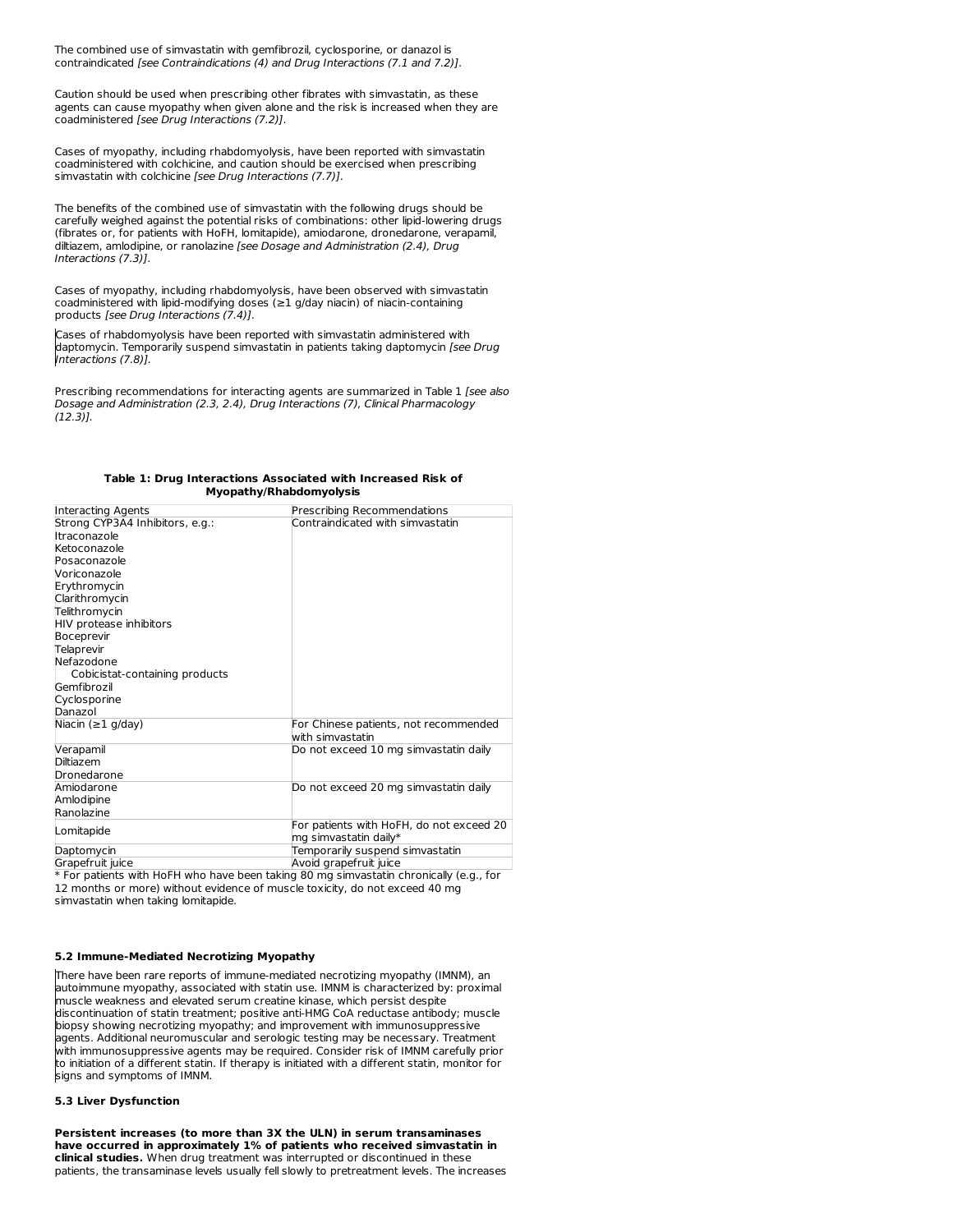The combined use of simvastatin with gemfibrozil, cyclosporine, or danazol is contraindicated [see Contraindications (4) and Drug Interactions (7.1 and 7.2)].

Caution should be used when prescribing other fibrates with simvastatin, as these agents can cause myopathy when given alone and the risk is increased when they are coadministered [see Drug Interactions (7.2)].

Cases of myopathy, including rhabdomyolysis, have been reported with simvastatin coadministered with colchicine, and caution should be exercised when prescribing simvastatin with colchicine [see Drug Interactions (7.7)].

The benefits of the combined use of simvastatin with the following drugs should be carefully weighed against the potential risks of combinations: other lipid-lowering drugs (fibrates or, for patients with HoFH, lomitapide), amiodarone, dronedarone, verapamil, diltiazem, amlodipine, or ranolazine [see Dosage and Administration (2.4), Drug Interactions (7.3)].

Cases of myopathy, including rhabdomyolysis, have been observed with simvastatin coadministered with lipid-modifying doses (≥1 g/day niacin) of niacin-containing products [see Drug Interactions (7.4)].

Cases of rhabdomyolysis have been reported with simvastatin administered with daptomycin. Temporarily suspend simvastatin in patients taking daptomycin [see Drug Interactions (7.8)].

Prescribing recommendations for interacting agents are summarized in Table 1 [see also Dosage and Administration (2.3, 2.4), Drug Interactions (7), Clinical Pharmacology (12.3)].

| Interacting Agents              | Prescribing Recommendations                               |
|---------------------------------|-----------------------------------------------------------|
| Strong CYP3A4 Inhibitors, e.g.: | Contraindicated with simvastatin                          |
| Itraconazole                    |                                                           |
| Ketoconazole                    |                                                           |
| Posaconazole                    |                                                           |
| Voriconazole                    |                                                           |
| Erythromycin                    |                                                           |
| Clarithromycin                  |                                                           |
| Telithromycin                   |                                                           |
| HIV protease inhibitors         |                                                           |
| Boceprevir                      |                                                           |
| Telaprevir                      |                                                           |
| Nefazodone                      |                                                           |
| Cobicistat-containing products  |                                                           |
| Gemfibrozil                     |                                                           |
| Cyclosporine                    |                                                           |
| Danazol                         |                                                           |
| Niacin ( $\geq$ 1 g/day)        | For Chinese patients, not recommended<br>with simvastatin |
| Verapamil                       | Do not exceed 10 mg simvastatin daily                     |
| Diltiazem                       |                                                           |
| Dronedarone                     |                                                           |
| Amiodarone                      | Do not exceed 20 mg simvastatin daily                     |
| Amlodipine                      |                                                           |
| Ranolazine                      |                                                           |
|                                 | For patients with HoFH, do not exceed 20                  |
| Lomitapide                      | mg simvastatin daily*                                     |
| Daptomycin                      | Temporarily suspend simvastatin                           |
| Grapefruit juice                | Avoid grapefruit juice                                    |

#### **Table 1: Drug Interactions Associated with Increased Risk of Myopathy/Rhabdomyolysis**

\* For patients with HoFH who have been taking 80 mg simvastatin chronically (e.g., for 12 months or more) without evidence of muscle toxicity, do not exceed 40 mg simvastatin when taking lomitapide.

# **5.2 Immune-Mediated Necrotizing Myopathy**

There have been rare reports of immune-mediated necrotizing myopathy (IMNM), an autoimmune myopathy, associated with statin use. IMNM is characterized by: proximal muscle weakness and elevated serum creatine kinase, which persist despite discontinuation of statin treatment; positive anti-HMG CoA reductase antibody; muscle biopsy showing necrotizing myopathy; and improvement with immunosuppressive agents. Additional neuromuscular and serologic testing may be necessary. Treatment with immunosuppressive agents may be required. Consider risk of IMNM carefully prior to initiation of a different statin. If therapy is initiated with a different statin, monitor for signs and symptoms of IMNM.

# **5.3 Liver Dysfunction**

**Persistent increases (to more than 3X the ULN) in serum transaminases have occurred in approximately 1% of patients who received simvastatin in clinical studies.** When drug treatment was interrupted or discontinued in these patients, the transaminase levels usually fell slowly to pretreatment levels. The increases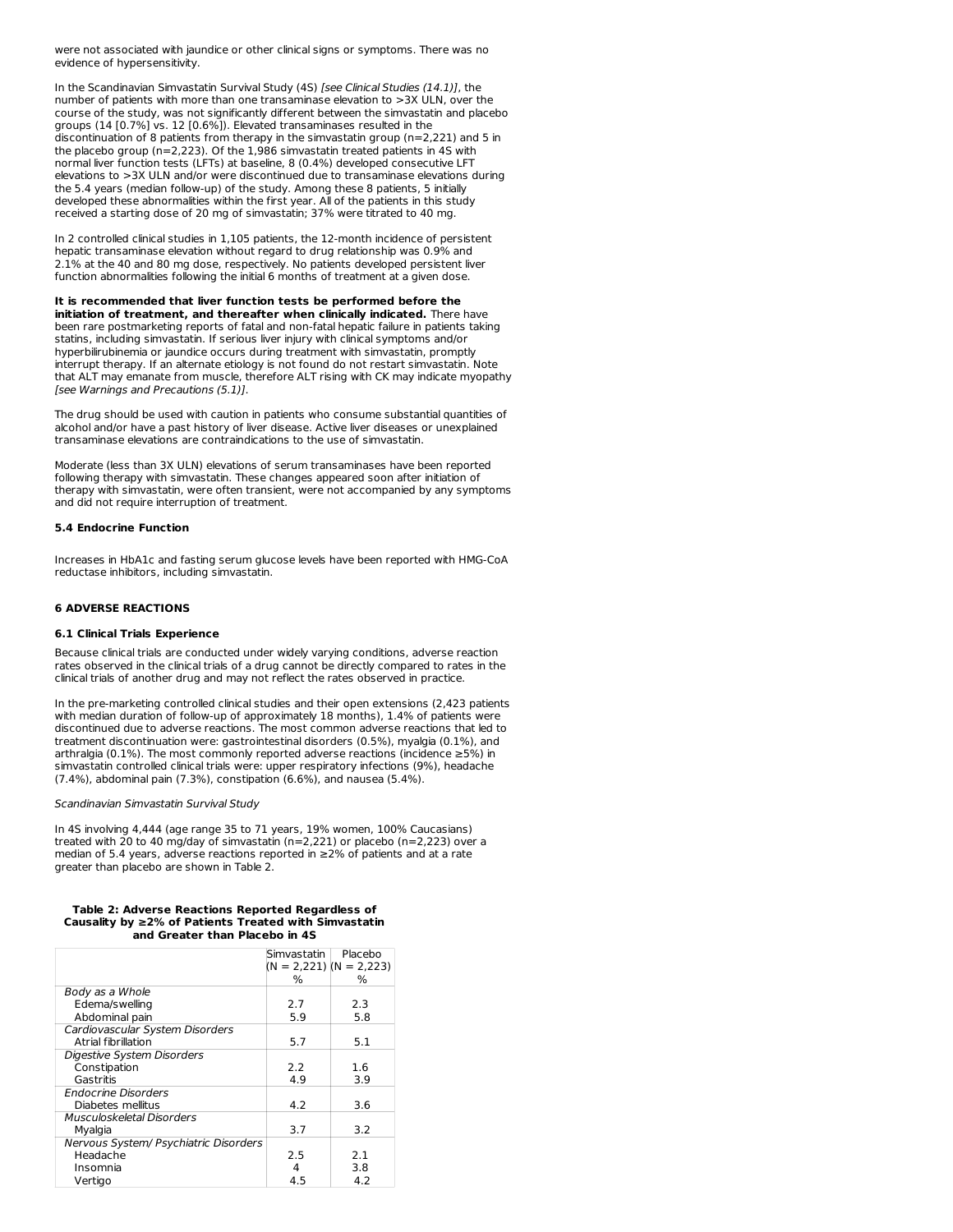were not associated with jaundice or other clinical signs or symptoms. There was no evidence of hypersensitivity.

In the Scandinavian Simvastatin Survival Study (4S) [see Clinical Studies (14.1)], the number of patients with more than one transaminase elevation to >3X ULN, over the course of the study, was not significantly different between the simvastatin and placebo groups (14 [0.7%] vs. 12 [0.6%]). Elevated transaminases resulted in the discontinuation of 8 patients from therapy in the simvastatin group (n=2,221) and 5 in the placebo group (n=2,223). Of the 1,986 simvastatin treated patients in 4S with normal liver function tests (LFTs) at baseline, 8 (0.4%) developed consecutive LFT elevations to >3X ULN and/or were discontinued due to transaminase elevations during the 5.4 years (median follow-up) of the study. Among these 8 patients, 5 initially developed these abnormalities within the first year. All of the patients in this study received a starting dose of 20 mg of simvastatin; 37% were titrated to 40 mg.

In 2 controlled clinical studies in 1,105 patients, the 12-month incidence of persistent hepatic transaminase elevation without regard to drug relationship was 0.9% and 2.1% at the 40 and 80 mg dose, respectively. No patients developed persistent liver function abnormalities following the initial 6 months of treatment at a given dose.

**It is recommended that liver function tests be performed before the initiation of treatment, and thereafter when clinically indicated.** There have been rare postmarketing reports of fatal and non-fatal hepatic failure in patients taking statins, including simvastatin. If serious liver injury with clinical symptoms and/or hyperbilirubinemia or jaundice occurs during treatment with simvastatin, promptly interrupt therapy. If an alternate etiology is not found do not restart simvastatin. Note that ALT may emanate from muscle, therefore ALT rising with CK may indicate myopathy [see Warnings and Precautions (5.1)].

The drug should be used with caution in patients who consume substantial quantities of alcohol and/or have a past history of liver disease. Active liver diseases or unexplained transaminase elevations are contraindications to the use of simvastatin.

Moderate (less than 3X ULN) elevations of serum transaminases have been reported following therapy with simvastatin. These changes appeared soon after initiation of therapy with simvastatin, were often transient, were not accompanied by any symptoms and did not require interruption of treatment.

### **5.4 Endocrine Function**

Increases in HbA1c and fasting serum glucose levels have been reported with HMG-CoA reductase inhibitors, including simvastatin.

# **6 ADVERSE REACTIONS**

### **6.1 Clinical Trials Experience**

Because clinical trials are conducted under widely varying conditions, adverse reaction rates observed in the clinical trials of a drug cannot be directly compared to rates in the clinical trials of another drug and may not reflect the rates observed in practice.

In the pre-marketing controlled clinical studies and their open extensions (2,423 patients with median duration of follow-up of approximately 18 months), 1.4% of patients were discontinued due to adverse reactions. The most common adverse reactions that led to treatment discontinuation were: gastrointestinal disorders (0.5%), myalgia (0.1%), and arthralgia (0.1%). The most commonly reported adverse reactions (incidence ≥5%) in simvastatin controlled clinical trials were: upper respiratory infections (9%), headache (7.4%), abdominal pain (7.3%), constipation (6.6%), and nausea (5.4%).

### Scandinavian Simvastatin Survival Study

In 4S involving 4,444 (age range 35 to 71 years, 19% women, 100% Caucasians) treated with 20 to 40 mg/day of simvastatin (n=2,221) or placebo (n=2,223) over a median of 5.4 years, adverse reactions reported in ≥2% of patients and at a rate greater than placebo are shown in Table 2.

#### **Table 2: Adverse Reactions Reported Regardless of Causality by ≥2% of Patients Treated with Simvastatin and Greater than Placebo in 4S**

|                                       | Simvastatin l | Placebo                     |
|---------------------------------------|---------------|-----------------------------|
|                                       |               | $(N = 2,221)$ $(N = 2,223)$ |
|                                       | $\%$          | ℅                           |
| Body as a Whole                       |               |                             |
| Edema/swelling                        | 2.7           | 2.3                         |
| Abdominal pain                        | 5.9           | 5.8                         |
| Cardiovascular System Disorders       |               |                             |
| Atrial fibrillation                   | 5.7           | 5.1                         |
| Digestive System Disorders            |               |                             |
| Constipation                          | 2.2           | 1.6                         |
| Gastritis                             | 4.9           | 3.9                         |
| Endocrine Disorders                   |               |                             |
| Diabetes mellitus                     | 4.2           | 3.6                         |
| Musculoskeletal Disorders             |               |                             |
| Myalgia                               | 3.7           | 3.2                         |
| Nervous System/ Psychiatric Disorders |               |                             |
| Headache                              | 2.5           | 2.1                         |
| Insomnia                              | 4             | 3.8                         |
| Vertigo                               | 4.5           | 4.2                         |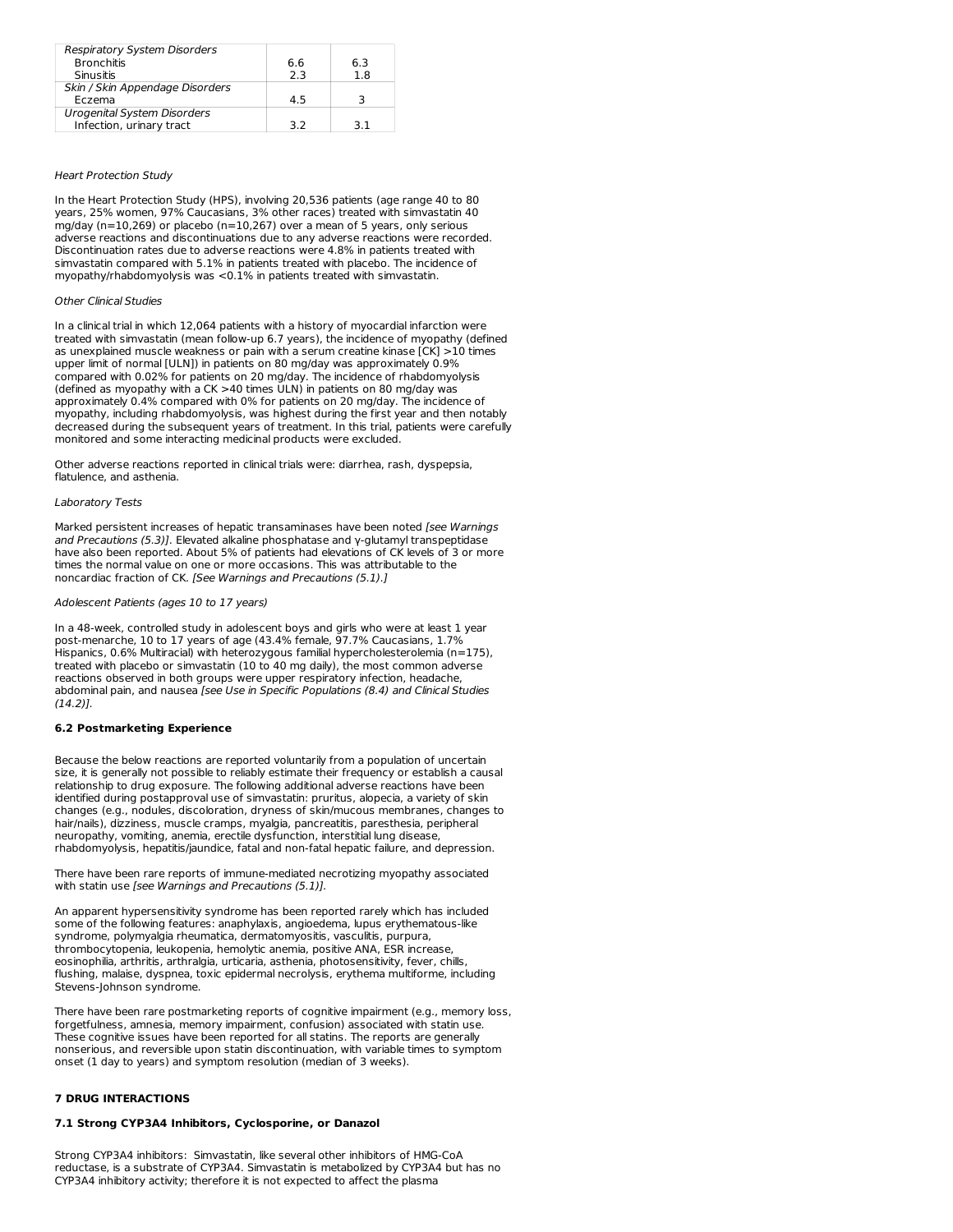| <b>Respiratory System Disorders</b> |     |     |
|-------------------------------------|-----|-----|
| <b>Bronchitis</b>                   | 6.6 | 6.3 |
| Sinusitis                           | 2.3 | 1.8 |
| Skin / Skin Appendage Disorders     |     |     |
| Eczema                              | 4.5 |     |
| Urogenital System Disorders         |     |     |
| Infection, urinary tract            | っっ  |     |

#### Heart Protection Study

In the Heart Protection Study (HPS), involving 20,536 patients (age range 40 to 80 years, 25% women, 97% Caucasians, 3% other races) treated with simvastatin 40 mg/day (n=10,269) or placebo (n=10,267) over a mean of 5 years, only serious adverse reactions and discontinuations due to any adverse reactions were recorded. Discontinuation rates due to adverse reactions were 4.8% in patients treated with simvastatin compared with 5.1% in patients treated with placebo. The incidence of myopathy/rhabdomyolysis was <0.1% in patients treated with simvastatin.

# Other Clinical Studies

In a clinical trial in which 12,064 patients with a history of myocardial infarction were treated with simvastatin (mean follow-up 6.7 years), the incidence of myopathy (defined as unexplained muscle weakness or pain with a serum creatine kinase [CK] >10 times upper limit of normal [ULN]) in patients on 80 mg/day was approximately 0.9% compared with 0.02% for patients on 20 mg/day. The incidence of rhabdomyolysis (defined as myopathy with a CK >40 times ULN) in patients on 80 mg/day was approximately 0.4% compared with 0% for patients on 20 mg/day. The incidence of myopathy, including rhabdomyolysis, was highest during the first year and then notably decreased during the subsequent years of treatment. In this trial, patients were carefully monitored and some interacting medicinal products were excluded.

Other adverse reactions reported in clinical trials were: diarrhea, rash, dyspepsia, flatulence, and asthenia.

# Laboratory Tests

Marked persistent increases of hepatic transaminases have been noted [see Warnings and Precautions (5.3)]. Elevated alkaline phosphatase and γ-glutamyl transpeptidase have also been reported. About 5% of patients had elevations of CK levels of 3 or more times the normal value on one or more occasions. This was attributable to the noncardiac fraction of CK. [See Warnings and Precautions (5.1).]

#### Adolescent Patients (ages 10 to 17 years)

In a 48-week, controlled study in adolescent boys and girls who were at least 1 year post-menarche, 10 to 17 years of age (43.4% female, 97.7% Caucasians, 1.7% Hispanics, 0.6% Multiracial) with heterozygous familial hypercholesterolemia (n=175), treated with placebo or simvastatin (10 to 40 mg daily), the most common adverse reactions observed in both groups were upper respiratory infection, headache, abdominal pain, and nausea [see Use in Specific Populations (8.4) and Clinical Studies (14.2)].

### **6.2 Postmarketing Experience**

Because the below reactions are reported voluntarily from a population of uncertain size, it is generally not possible to reliably estimate their frequency or establish a causal relationship to drug exposure. The following additional adverse reactions have been identified during postapproval use of simvastatin: pruritus, alopecia, a variety of skin changes (e.g., nodules, discoloration, dryness of skin/mucous membranes, changes to hair/nails), dizziness, muscle cramps, myalgia, pancreatitis, paresthesia, peripheral neuropathy, vomiting, anemia, erectile dysfunction, interstitial lung disease, rhabdomyolysis, hepatitis/jaundice, fatal and non-fatal hepatic failure, and depression.

There have been rare reports of immune-mediated necrotizing myopathy associated with statin use [see Warnings and Precautions (5.1)].

An apparent hypersensitivity syndrome has been reported rarely which has included some of the following features: anaphylaxis, angioedema, lupus erythematous-like syndrome, polymyalgia rheumatica, dermatomyositis, vasculitis, purpura, thrombocytopenia, leukopenia, hemolytic anemia, positive ANA, ESR increase, eosinophilia, arthritis, arthralgia, urticaria, asthenia, photosensitivity, fever, chills flushing, malaise, dyspnea, toxic epidermal necrolysis, erythema multiforme, including Stevens-Johnson syndrome.

There have been rare postmarketing reports of cognitive impairment (e.g., memory loss, forgetfulness, amnesia, memory impairment, confusion) associated with statin use. These cognitive issues have been reported for all statins. The reports are generally nonserious, and reversible upon statin discontinuation, with variable times to symptom onset (1 day to years) and symptom resolution (median of 3 weeks).

# **7 DRUG INTERACTIONS**

### **7.1 Strong CYP3A4 Inhibitors, Cyclosporine, or Danazol**

Strong CYP3A4 inhibitors: Simvastatin, like several other inhibitors of HMG-CoA reductase, is a substrate of CYP3A4. Simvastatin is metabolized by CYP3A4 but has no CYP3A4 inhibitory activity; therefore it is not expected to affect the plasma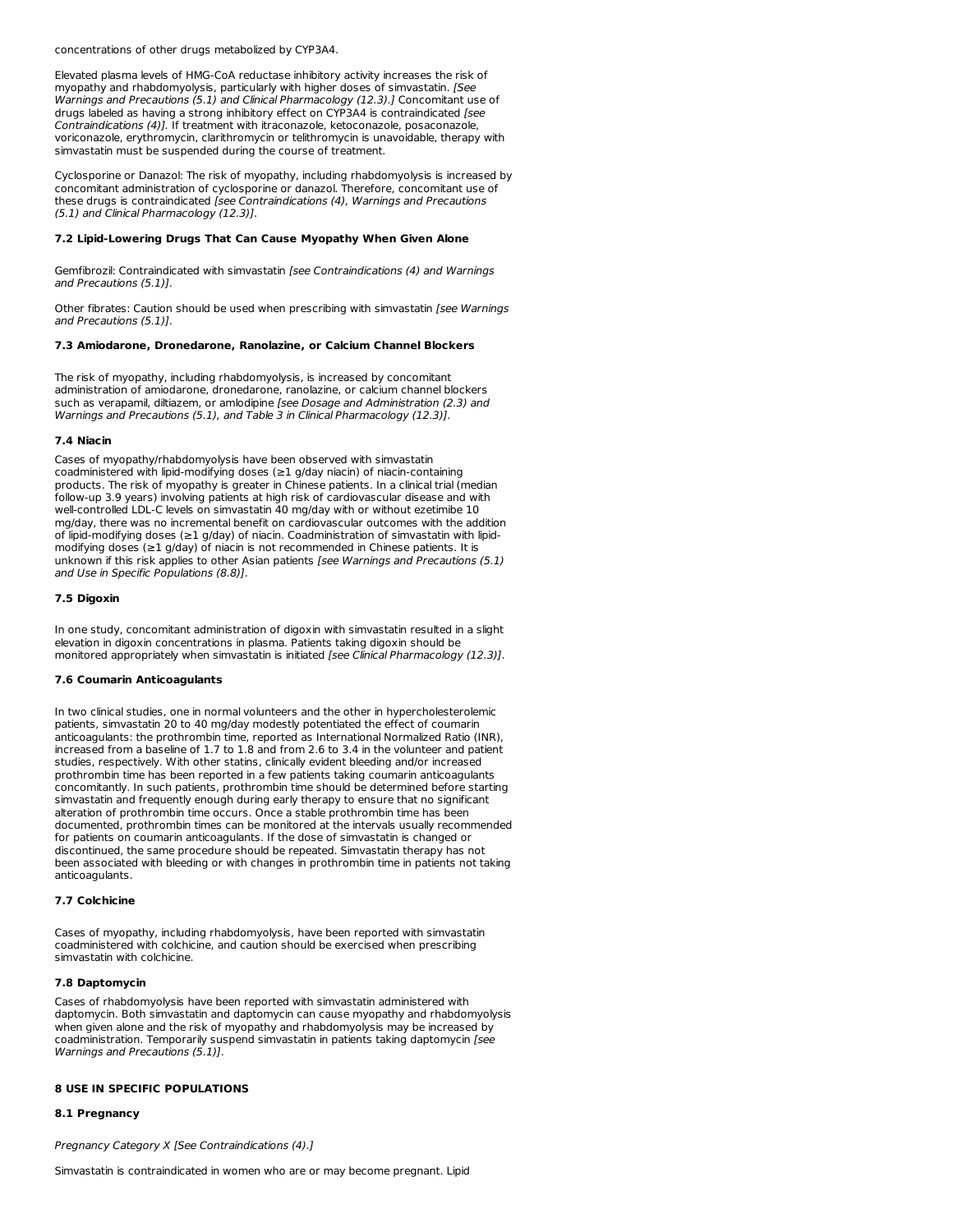concentrations of other drugs metabolized by CYP3A4.

Elevated plasma levels of HMG-CoA reductase inhibitory activity increases the risk of myopathy and rhabdomyolysis, particularly with higher doses of simvastatin. [See Warnings and Precautions (5.1) and Clinical Pharmacology (12.3).] Concomitant use of drugs labeled as having a strong inhibitory effect on CYP3A4 is contraindicated [see Contraindications (4)]. If treatment with itraconazole, ketoconazole, posaconazole, voriconazole, erythromycin, clarithromycin or telithromycin is unavoidable, therapy with simvastatin must be suspended during the course of treatment.

Cyclosporine or Danazol: The risk of myopathy, including rhabdomyolysis is increased by concomitant administration of cyclosporine or danazol. Therefore, concomitant use of these drugs is contraindicated [see Contraindications (4), Warnings and Precautions (5.1) and Clinical Pharmacology (12.3)].

### **7.2 Lipid-Lowering Drugs That Can Cause Myopathy When Given Alone**

Gemfibrozil: Contraindicated with simvastatin [see Contraindications (4) and Warnings and Precautions (5.1)].

Other fibrates: Caution should be used when prescribing with simvastatin [see Warnings and Precautions (5.1)].

#### **7.3 Amiodarone, Dronedarone, Ranolazine, or Calcium Channel Blockers**

The risk of myopathy, including rhabdomyolysis, is increased by concomitant administration of amiodarone, dronedarone, ranolazine, or calcium channel blockers such as verapamil, diltiazem, or amlodipine [see Dosage and Administration (2.3) and Warnings and Precautions (5.1), and Table 3 in Clinical Pharmacology (12.3)].

### **7.4 Niacin**

Cases of myopathy/rhabdomyolysis have been observed with simvastatin coadministered with lipid-modifying doses (≥1 g/day niacin) of niacin-containing products. The risk of myopathy is greater in Chinese patients. In a clinical trial (median follow-up 3.9 years) involving patients at high risk of cardiovascular disease and with well-controlled LDL-C levels on simvastatin 40 mg/day with or without ezetimibe 10 mg/day, there was no incremental benefit on cardiovascular outcomes with the addition of lipid-modifying doses (≥1 g/day) of niacin. Coadministration of simvastatin with lipid modifying doses (≥1 g/day) of niacin is not recommended in Chinese patients. It is unknown if this risk applies to other Asian patients [see Warnings and Precautions (5.1) and Use in Specific Populations (8.8)].

### **7.5 Digoxin**

In one study, concomitant administration of digoxin with simvastatin resulted in a slight elevation in digoxin concentrations in plasma. Patients taking digoxin should be monitored appropriately when simvastatin is initiated [see Clinical Pharmacology (12.3)].

### **7.6 Coumarin Anticoagulants**

In two clinical studies, one in normal volunteers and the other in hypercholesterolemic patients, simvastatin 20 to 40 mg/day modestly potentiated the effect of coumarin anticoagulants: the prothrombin time, reported as International Normalized Ratio (INR), increased from a baseline of 1.7 to 1.8 and from 2.6 to 3.4 in the volunteer and patient studies, respectively. With other statins, clinically evident bleeding and/or increased prothrombin time has been reported in a few patients taking coumarin anticoagulants concomitantly. In such patients, prothrombin time should be determined before starting simvastatin and frequently enough during early therapy to ensure that no significant alteration of prothrombin time occurs. Once a stable prothrombin time has been documented, prothrombin times can be monitored at the intervals usually recommended for patients on coumarin anticoagulants. If the dose of simvastatin is changed or discontinued, the same procedure should be repeated. Simvastatin therapy has not been associated with bleeding or with changes in prothrombin time in patients not taking anticoagulants.

# **7.7 Colchicine**

Cases of myopathy, including rhabdomyolysis, have been reported with simvastatin coadministered with colchicine, and caution should be exercised when prescribing simvastatin with colchicine.

### **7.8 Daptomycin**

Cases of rhabdomyolysis have been reported with simvastatin administered with daptomycin. Both simvastatin and daptomycin can cause myopathy and rhabdomyolysis when given alone and the risk of myopathy and rhabdomyolysis may be increased by coadministration. Temporarily suspend simvastatin in patients taking daptomycin [see Warnings and Precautions (5.1)].

### **8 USE IN SPECIFIC POPULATIONS**

### **8.1 Pregnancy**

Pregnancy Category X [See Contraindications (4).]

Simvastatin is contraindicated in women who are or may become pregnant. Lipid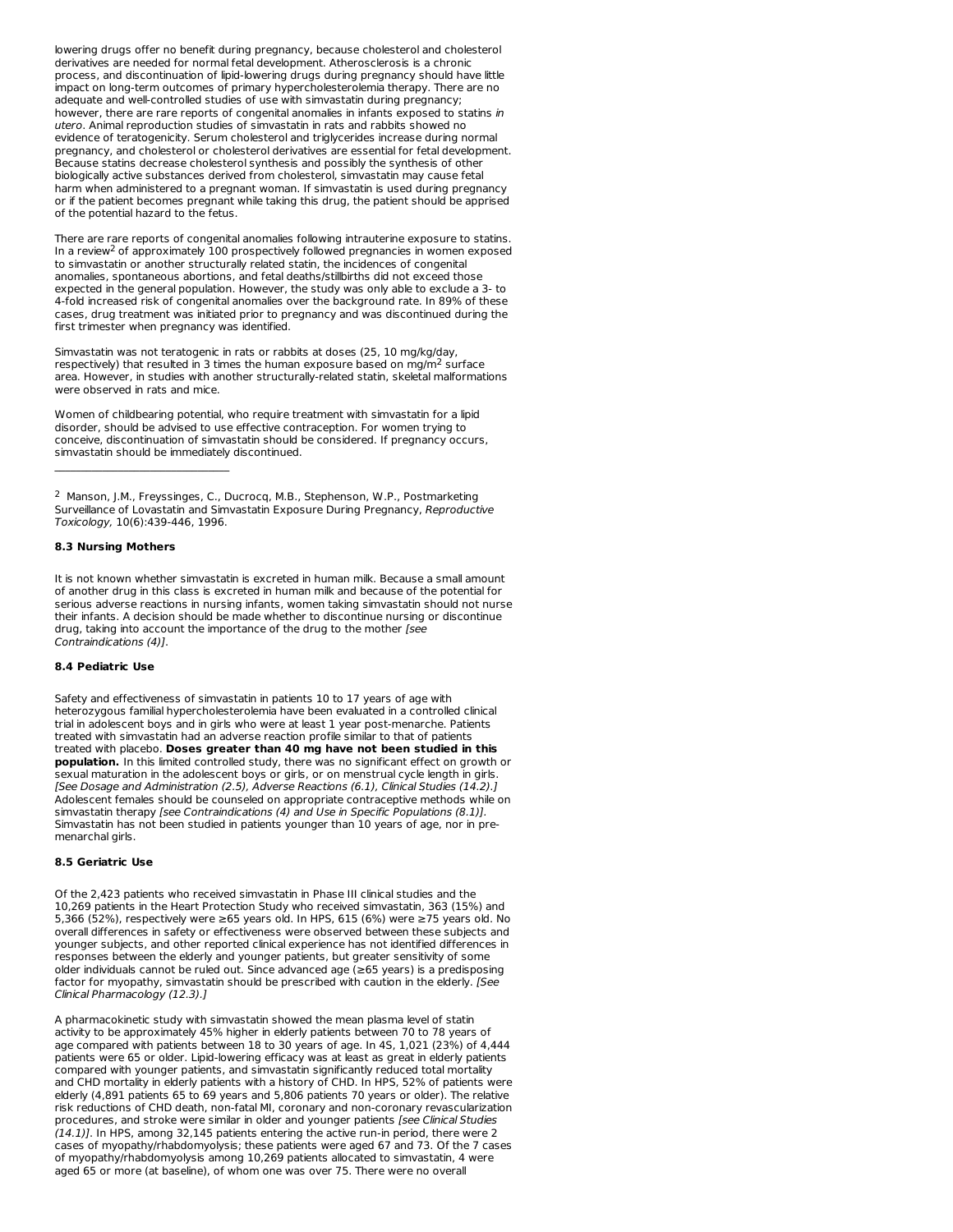lowering drugs offer no benefit during pregnancy, because cholesterol and cholesterol derivatives are needed for normal fetal development. Atherosclerosis is a chronic process, and discontinuation of lipid-lowering drugs during pregnancy should have little impact on long-term outcomes of primary hypercholesterolemia therapy. There are no adequate and well-controlled studies of use with simvastatin during pregnancy; however, there are rare reports of congenital anomalies in infants exposed to statins in utero. Animal reproduction studies of simvastatin in rats and rabbits showed no evidence of teratogenicity. Serum cholesterol and triglycerides increase during normal pregnancy, and cholesterol or cholesterol derivatives are essential for fetal development. Because statins decrease cholesterol synthesis and possibly the synthesis of other biologically active substances derived from cholesterol, simvastatin may cause fetal harm when administered to a pregnant woman. If simvastatin is used during pregnancy or if the patient becomes pregnant while taking this drug, the patient should be apprised of the potential hazard to the fetus.

There are rare reports of congenital anomalies following intrauterine exposure to statins. In a review<sup>2</sup> of approximately  $100$  prospectively followed pregnancies in women exposed to simvastatin or another structurally related statin, the incidences of congenital anomalies, spontaneous abortions, and fetal deaths/stillbirths did not exceed those expected in the general population. However, the study was only able to exclude a 3- to 4-fold increased risk of congenital anomalies over the background rate. In 89% of these cases, drug treatment was initiated prior to pregnancy and was discontinued during the first trimester when pregnancy was identified.

Simvastatin was not teratogenic in rats or rabbits at doses (25, 10 mg/kg/day, respectively) that resulted in 3 times the human exposure based on mg/m<sup>2</sup> surface area. However, in studies with another structurally-related statin, skeletal malformations were observed in rats and mice.

Women of childbearing potential, who require treatment with simvastatin for a lipid disorder, should be advised to use effective contraception. For women trying to conceive, discontinuation of simvastatin should be considered. If pregnancy occurs, simvastatin should be immediately discontinued.

<sup>2</sup> Manson, J.M., Freyssinges, C., Ducrocq, M.B., Stephenson, W.P., Postmarketing Surveillance of Lovastatin and Simvastatin Exposure During Pregnancy, Reproductive Toxicology, 10(6):439-446, 1996.

# **8.3 Nursing Mothers**

 $\mathcal{L}_\text{max}$ 

It is not known whether simvastatin is excreted in human milk. Because a small amount of another drug in this class is excreted in human milk and because of the potential for serious adverse reactions in nursing infants, women taking simvastatin should not nurse their infants. A decision should be made whether to discontinue nursing or discontinue drug, taking into account the importance of the drug to the mother [see Contraindications (4)].

### **8.4 Pediatric Use**

Safety and effectiveness of simvastatin in patients 10 to 17 years of age with heterozygous familial hypercholesterolemia have been evaluated in a controlled clinical trial in adolescent boys and in girls who were at least 1 year post-menarche. Patients treated with simvastatin had an adverse reaction profile similar to that of patients treated with placebo. **Doses greater than 40 mg have not been studied in this population.** In this limited controlled study, there was no significant effect on growth or sexual maturation in the adolescent boys or girls, or on menstrual cycle length in girls. [See Dosage and Administration (2.5), Adverse Reactions (6.1), Clinical Studies (14.2).] Adolescent females should be counseled on appropriate contraceptive methods while on simvastatin therapy [see Contraindications (4) and Use in Specific Populations (8.1)]. Simvastatin has not been studied in patients younger than 10 years of age, nor in pre menarchal girls.

# **8.5 Geriatric Use**

Of the 2,423 patients who received simvastatin in Phase III clinical studies and the 10,269 patients in the Heart Protection Study who received simvastatin, 363 (15%) and 5,366 (52%), respectively were ≥65 years old. In HPS, 615 (6%) were ≥75 years old. No overall differences in safety or effectiveness were observed between these subjects and younger subjects, and other reported clinical experience has not identified differences in responses between the elderly and younger patients, but greater sensitivity of some older individuals cannot be ruled out. Since advanced age (≥65 years) is a predisposing factor for myopathy, simvastatin should be prescribed with caution in the elderly. [See Clinical Pharmacology (12.3).]

A pharmacokinetic study with simvastatin showed the mean plasma level of statin activity to be approximately 45% higher in elderly patients between 70 to 78 years of age compared with patients between 18 to 30 years of age. In 4S, 1,021 (23%) of 4,444 patients were 65 or older. Lipid-lowering efficacy was at least as great in elderly patients compared with younger patients, and simvastatin significantly reduced total mortality and CHD mortality in elderly patients with a history of CHD. In HPS, 52% of patients were elderly (4,891 patients 65 to 69 years and 5,806 patients 70 years or older). The relative risk reductions of CHD death, non-fatal MI, coronary and non-coronary revascularization procedures, and stroke were similar in older and younger patients [see Clinical Studies (14.1)]. In HPS, among 32,145 patients entering the active run-in period, there were 2 cases of myopathy/rhabdomyolysis; these patients were aged 67 and 73. Of the 7 cases of myopathy/rhabdomyolysis among 10,269 patients allocated to simvastatin, 4 were aged 65 or more (at baseline), of whom one was over 75. There were no overall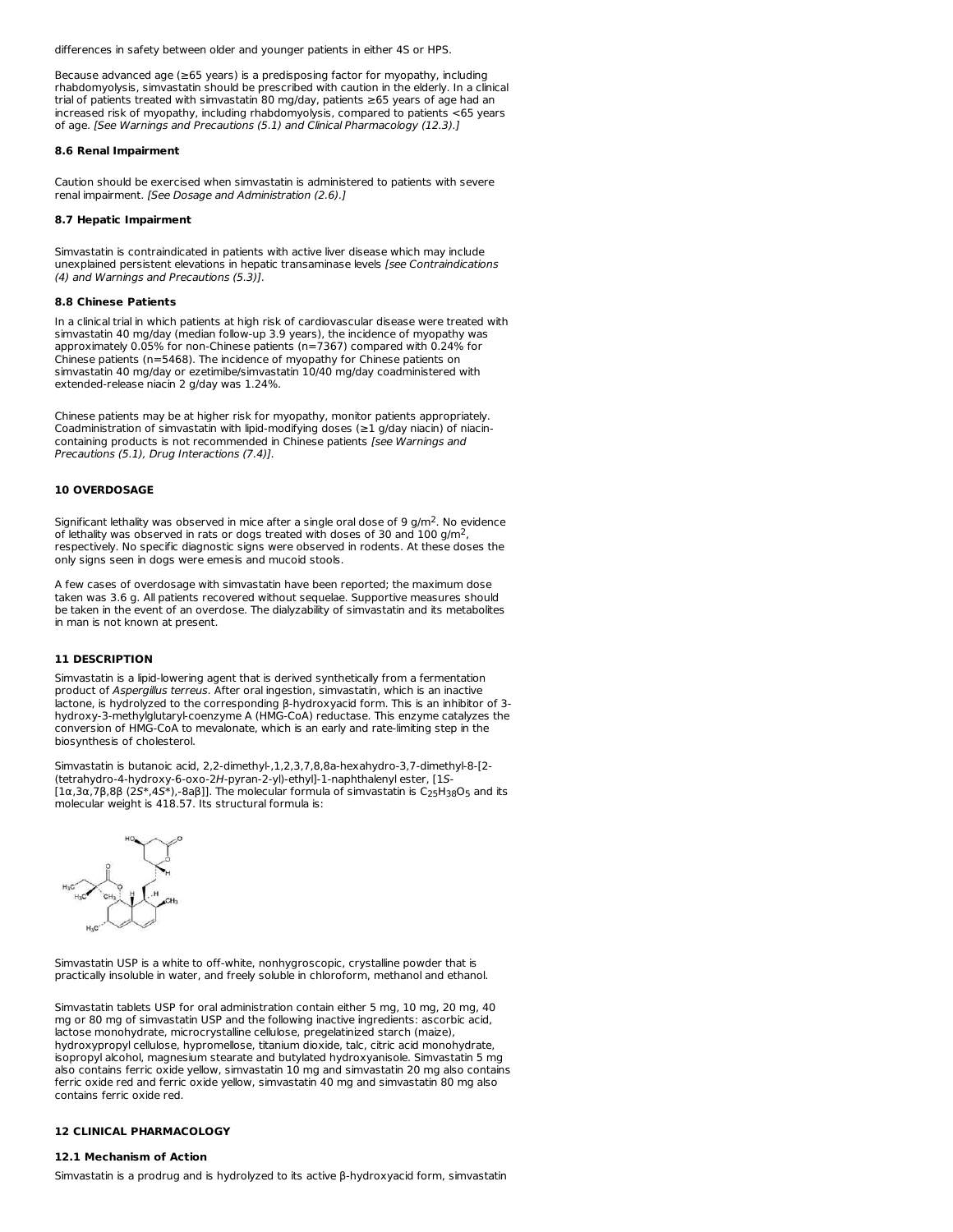differences in safety between older and younger patients in either 4S or HPS.

Because advanced age (≥65 years) is a predisposing factor for myopathy, including rhabdomyolysis, simvastatin should be prescribed with caution in the elderly. In a clinical trial of patients treated with simvastatin 80 mg/day, patients ≥65 years of age had an increased risk of myopathy, including rhabdomyolysis, compared to patients <65 years of age. [See Warnings and Precautions (5.1) and Clinical Pharmacology (12.3).]

# **8.6 Renal Impairment**

Caution should be exercised when simvastatin is administered to patients with severe renal impairment. [See Dosage and Administration (2.6).]

#### **8.7 Hepatic Impairment**

Simvastatin is contraindicated in patients with active liver disease which may include unexplained persistent elevations in hepatic transaminase levels [see Contraindications (4) and Warnings and Precautions (5.3)].

#### **8.8 Chinese Patients**

In a clinical trial in which patients at high risk of cardiovascular disease were treated with simvastatin 40 mg/day (median follow-up 3.9 years), the incidence of myopathy was approximately 0.05% for non-Chinese patients (n=7367) compared with 0.24% for Chinese patients (n=5468). The incidence of myopathy for Chinese patients on simvastatin 40 mg/day or ezetimibe/simvastatin 10/40 mg/day coadministered with extended-release niacin 2 g/day was 1.24%.

Chinese patients may be at higher risk for myopathy, monitor patients appropriately. Coadministration of simvastatin with lipid-modifying doses (≥1 g/day niacin) of niacincontaining products is not recommended in Chinese patients [see Warnings and Precautions (5.1), Drug Interactions (7.4)].

### **10 OVERDOSAGE**

Significant lethality was observed in mice after a single oral dose of 9  $g/m<sup>2</sup>$ . No evidence of lethality was observed in rats or dogs treated with doses of 30 and 100 g/m<sup>2</sup>, respectively. No specific diagnostic signs were observed in rodents. At these doses the only signs seen in dogs were emesis and mucoid stools.

A few cases of overdosage with simvastatin have been reported; the maximum dose taken was 3.6 g. All patients recovered without sequelae. Supportive measures should be taken in the event of an overdose. The dialyzability of simvastatin and its metabolites in man is not known at present.

### **11 DESCRIPTION**

Simvastatin is a lipid-lowering agent that is derived synthetically from a fermentation product of Aspergillus terreus. After oral ingestion, simvastatin, which is an inactive lactone, is hydrolyzed to the corresponding β-hydroxyacid form. This is an inhibitor of 3 hydroxy-3-methylglutaryl-coenzyme A (HMG-CoA) reductase. This enzyme catalyzes the conversion of HMG-CoA to mevalonate, which is an early and rate-limiting step in the biosynthesis of cholesterol.

Simvastatin is butanoic acid, 2,2-dimethyl-,1,2,3,7,8,8a-hexahydro-3,7-dimethyl-8-[2- (tetrahydro-4-hydroxy-6-oxo-2H-pyran-2-yl)-ethyl]-1-naphthalenyl ester, [1S-  $[1\alpha,3\alpha,7\beta,8\beta$   $(2S^*,4S^*)$ ,-8aβ]]. The molecular formula of simvastatin is C $_{25}$ H $_{38}$ O $_{5}$  and its molecular weight is 418.57. Its structural formula is:



Simvastatin USP is a white to off-white, nonhygroscopic, crystalline powder that is practically insoluble in water, and freely soluble in chloroform, methanol and ethanol.

Simvastatin tablets USP for oral administration contain either 5 mg, 10 mg, 20 mg, 40 mg or 80 mg of simvastatin USP and the following inactive ingredients: ascorbic acid, lactose monohydrate, microcrystalline cellulose, pregelatinized starch (maize), hydroxypropyl cellulose, hypromellose, titanium dioxide, talc, citric acid monohydrate, isopropyl alcohol, magnesium stearate and butylated hydroxyanisole. Simvastatin 5 mg also contains ferric oxide yellow, simvastatin 10 mg and simvastatin 20 mg also contains ferric oxide red and ferric oxide yellow, simvastatin 40 mg and simvastatin 80 mg also contains ferric oxide red.

# **12 CLINICAL PHARMACOLOGY**

### **12.1 Mechanism of Action**

Simvastatin is a prodrug and is hydrolyzed to its active β-hydroxyacid form, simvastatin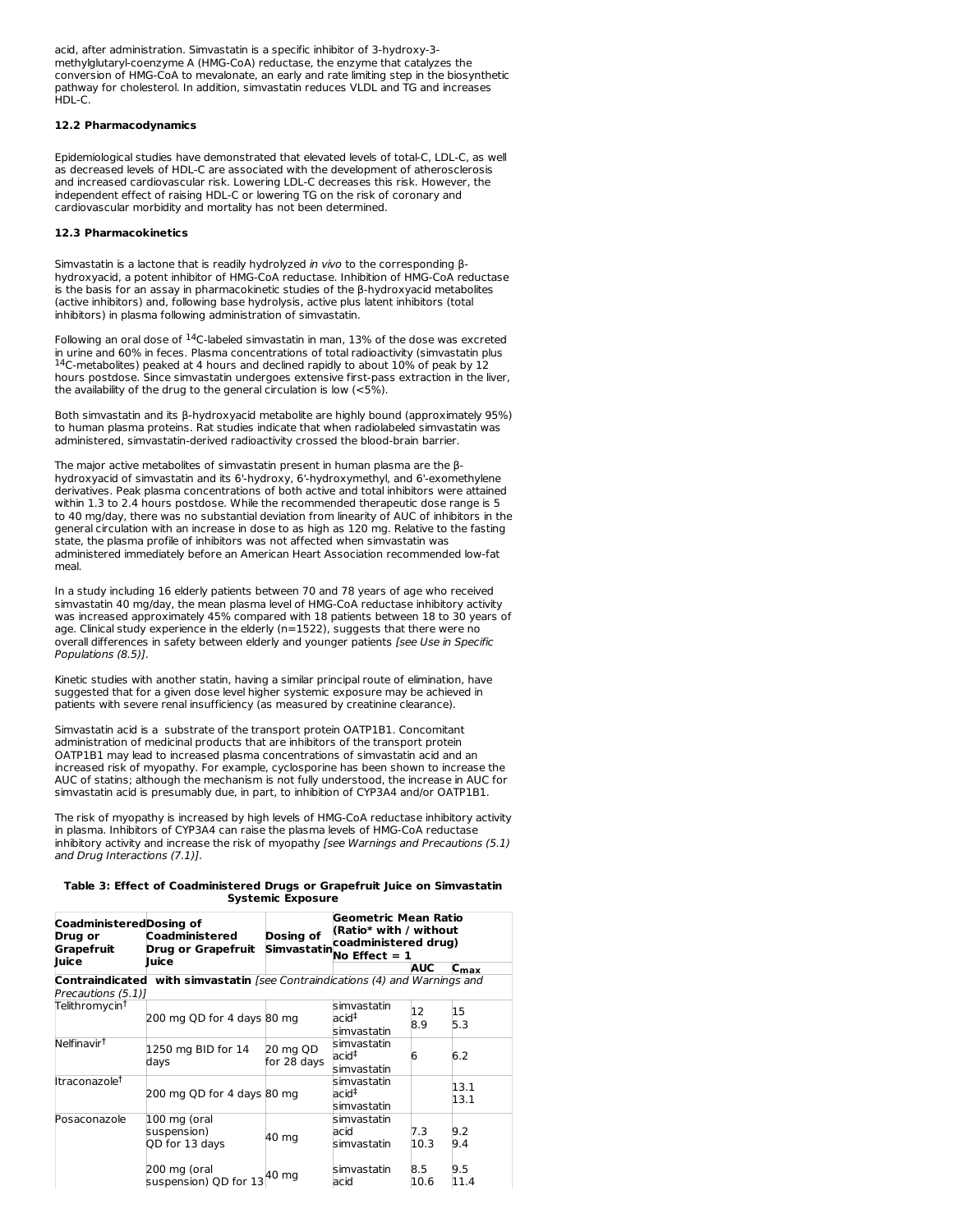acid, after administration. Simvastatin is a specific inhibitor of 3-hydroxy-3 methylglutaryl-coenzyme A (HMG-CoA) reductase, the enzyme that catalyzes the conversion of HMG-CoA to mevalonate, an early and rate limiting step in the biosynthetic pathway for cholesterol. In addition, simvastatin reduces VLDL and TG and increases HDL-C.

# **12.2 Pharmacodynamics**

Epidemiological studies have demonstrated that elevated levels of total-C, LDL-C, as well as decreased levels of HDL-C are associated with the development of atherosclerosis and increased cardiovascular risk. Lowering LDL-C decreases this risk. However, the independent effect of raising HDL-C or lowering TG on the risk of coronary and cardiovascular morbidity and mortality has not been determined.

# **12.3 Pharmacokinetics**

Simvastatin is a lactone that is readily hydrolyzed in vivo to the corresponding βhydroxyacid, a potent inhibitor of HMG-CoA reductase. Inhibition of HMG-CoA reductase is the basis for an assay in pharmacokinetic studies of the β-hydroxyacid metabolites (active inhibitors) and, following base hydrolysis, active plus latent inhibitors (total inhibitors) in plasma following administration of simvastatin.

Following an oral dose of  $^{14}$ C-labeled simvastatin in man, 13% of the dose was excreted in urine and 60% in feces. Plasma concentrations of total radioactivity (simvastatin plus  $14$ C-metabolites) peaked at 4 hours and declined rapidly to about 10% of peak by 12 hours postdose. Since simvastatin undergoes extensive first-pass extraction in the liver, the availability of the drug to the general circulation is low (<5%).

Both simvastatin and its β-hydroxyacid metabolite are highly bound (approximately 95%) to human plasma proteins. Rat studies indicate that when radiolabeled simvastatin was administered, simvastatin-derived radioactivity crossed the blood-brain barrier.

The major active metabolites of simvastatin present in human plasma are the βhydroxyacid of simvastatin and its 6'-hydroxy, 6'-hydroxymethyl, and 6'-exomethylene derivatives. Peak plasma concentrations of both active and total inhibitors were attained within 1.3 to 2.4 hours postdose. While the recommended therapeutic dose range is 5 to 40 mg/day, there was no substantial deviation from linearity of AUC of inhibitors in the general circulation with an increase in dose to as high as 120 mg. Relative to the fasting state, the plasma profile of inhibitors was not affected when simvastatin was administered immediately before an American Heart Association recommended low-fat meal.

In a study including 16 elderly patients between 70 and 78 years of age who received simvastatin 40 mg/day, the mean plasma level of HMG-CoA reductase inhibitory activity was increased approximately 45% compared with 18 patients between 18 to 30 years of age. Clinical study experience in the elderly (n=1522), suggests that there were no overall differences in safety between elderly and younger patients [see Use in Specific Populations (8.5)].

Kinetic studies with another statin, having a similar principal route of elimination, have suggested that for a given dose level higher systemic exposure may be achieved in patients with severe renal insufficiency (as measured by creatinine clearance).

Simvastatin acid is a substrate of the transport protein OATP1B1. Concomitant administration of medicinal products that are inhibitors of the transport protein OATP1B1 may lead to increased plasma concentrations of simvastatin acid and an increased risk of myopathy. For example, cyclosporine has been shown to increase the AUC of statins; although the mechanism is not fully understood, the increase in AUC for simvastatin acid is presumably due, in part, to inhibition of CYP3A4 and/or OATP1B1.

The risk of myopathy is increased by high levels of HMG-CoA reductase inhibitory activity in plasma. Inhibitors of CYP3A4 can raise the plasma levels of HMG-CoA reductase inhibitory activity and increase the risk of myopathy [see Warnings and Precautions (5.1) and Drug Interactions (7.1)].

| Table 3: Effect of Coadministered Drugs or Grapefruit Juice on Simvastatin |  |  |  |  |  |  |
|----------------------------------------------------------------------------|--|--|--|--|--|--|
| <b>Systemic Exposure</b>                                                   |  |  |  |  |  |  |

| CoadministeredDosing of<br>Drug or<br>Grapefruit | Coadministered<br>Drug or Grapefruit                                                | Dosing of<br><b>Simvastatin</b> | Geometric Mean Ratio<br>(Ratio* with / without<br>coadministered drug)<br>'No Effect = 1 |             |                  |
|--------------------------------------------------|-------------------------------------------------------------------------------------|---------------------------------|------------------------------------------------------------------------------------------|-------------|------------------|
| Juice                                            | luice                                                                               |                                 |                                                                                          | AUC         | $c_{\text{max}}$ |
| Precautions (5.1)]                               | <b>Contraindicated with simvastatin [see Contraindications (4) and Warnings and</b> |                                 |                                                                                          |             |                  |
| Telithromycin <sup>t</sup>                       | 200 mg QD for 4 days 80 mg                                                          |                                 | simvastatin<br>acid‡<br>simvastatin                                                      | 12<br>8.9   | 15<br>5.3        |
| Nelfinavir <sup>†</sup>                          | 1250 mg BID for 14<br>days                                                          | 20 mg QD<br>for 28 days         | simvastatin<br>acid‡<br>simvastatin                                                      | 6           | 6.2              |
| Itraconazole <sup>†</sup>                        | 200 mg QD for 4 days 80 mg                                                          |                                 | simvastatin<br>acid‡<br>simvastatin                                                      |             | 13.1<br>13.1     |
| Posaconazole                                     | 100 mg (oral<br>suspension)<br>QD for 13 days                                       | 40 mg                           | simvastatin<br>acid<br>simvastatin                                                       | 7.3<br>10.3 | 9.2<br>9.4       |
|                                                  | 200 mg (oral<br>suspension) QD for 13                                               | 40 mg                           | simvastatin<br>acid                                                                      | 8.5<br>10.6 | 9.5<br>11.4      |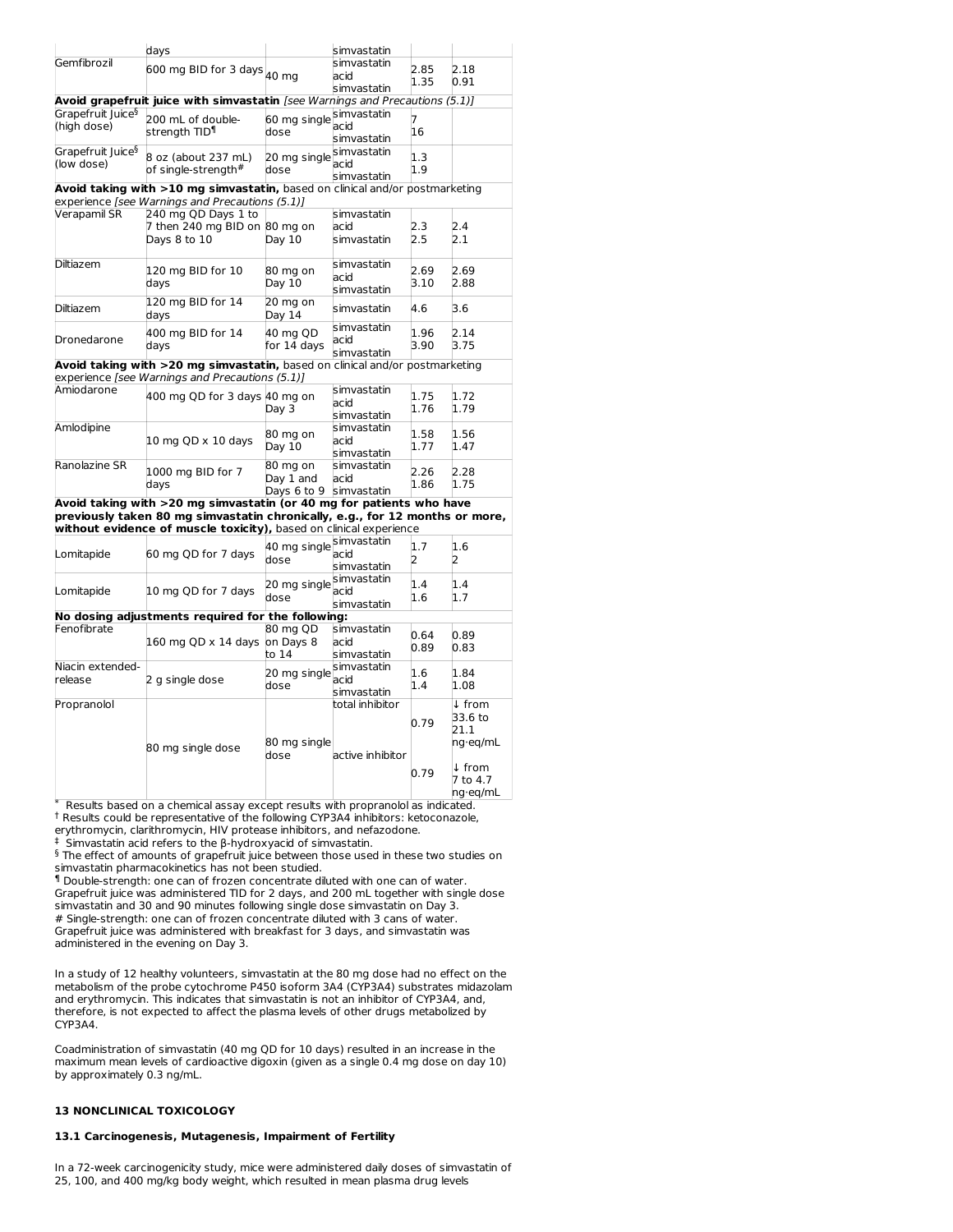|                               | days                                                                           |              | simvastatin                |      |                   |
|-------------------------------|--------------------------------------------------------------------------------|--------------|----------------------------|------|-------------------|
| Gemfibrozil                   | $600$ mg BID for 3 days $\big _{\rm 40\ mg}$                                   |              | simvastatin                | 2.85 | 2.18              |
|                               |                                                                                |              | acid                       | 1.35 | 0.91              |
|                               |                                                                                |              | simvastatin                |      |                   |
| Grapefruit Juice <sup>§</sup> | Avoid grapefruit juice with simvastatin [see Warnings and Precautions (5.1)]   |              | simvastatin                |      |                   |
| (high dose)                   | 200 mL of double-                                                              | 60 mg single | acid                       | 7    |                   |
|                               | strenath TID¶                                                                  | dose         | simvastatin                | 16   |                   |
| Grapefruit Juice <sup>§</sup> |                                                                                |              | simvastatin                |      |                   |
| (low dose)                    | 8 oz (about 237 mL)                                                            | 20 mg single | acid                       | 1.3  |                   |
|                               | of single-strength#                                                            | dose         | simvastatin                | 1.9  |                   |
|                               | Avoid taking with >10 mg simvastatin, based on clinical and/or postmarketing   |              |                            |      |                   |
|                               | experience [see Warnings and Precautions (5.1)]                                |              |                            |      |                   |
| Verapamil SR                  | 240 mg QD Days 1 to                                                            |              | simvastatin                |      |                   |
|                               | 7 then 240 mg BID on 80 mg on                                                  |              | acid                       | 2.3  | 2.4               |
|                               | Days 8 to 10                                                                   | Day 10       | simvastatin                | 2.5  | 2.1               |
| Diltiazem                     |                                                                                |              | simvastatin                |      |                   |
|                               | 120 mg BID for 10                                                              | 80 mg on     | acid                       | 2.69 | 2.69              |
|                               | days                                                                           | Day 10       | simvastatin                | 3.10 | 2.88              |
|                               | 120 mg BID for 14                                                              | 20 mg on     |                            |      |                   |
| Diltiazem                     | days                                                                           | Day 14       | simvastatin                | 4.6  | 3.6               |
|                               | 400 mg BID for 14                                                              | 40 mg QD     | simvastatin                | 1.96 | 2.14              |
| Dronedarone                   | days                                                                           | for 14 days  | acid                       | 3.90 | 3.75              |
|                               |                                                                                |              | simvastatin                |      |                   |
|                               | Avoid taking with >20 mg simvastatin, based on clinical and/or postmarketing   |              |                            |      |                   |
|                               | experience [see Warnings and Precautions (5.1)]                                |              |                            |      |                   |
| Amiodarone                    | 400 mg QD for 3 days 40 mg on                                                  |              | simvastatin                | 1.75 | 1.72              |
|                               |                                                                                | Day 3        | acid                       | 1.76 | 1.79              |
| Amlodipine                    |                                                                                |              | simvastatin<br>simvastatin |      |                   |
|                               | 10 mg QD x 10 days                                                             | 80 mg on     | acid                       | 1.58 | 1.56              |
|                               |                                                                                | Day 10       | simvastatin                | 1.77 | 1.47              |
| Ranolazine SR                 |                                                                                | 80 mg on     | simvastatin                |      |                   |
|                               | 1000 mg BID for 7                                                              | Day 1 and    | acid                       | 2.26 | 2.28              |
|                               | days                                                                           | Days 6 to 9  | simvastatin                | 1.86 | 1.75              |
|                               | Avoid taking with >20 mg simvastatin (or 40 mg for patients who have           |              |                            |      |                   |
|                               | previously taken 80 mg simvastatin chronically, e.g., for 12 months or more,   |              |                            |      |                   |
|                               | without evidence of muscle toxicity), based on clinical experience             |              |                            |      |                   |
|                               |                                                                                | 40 mg single | simvastatin                | 1.7  | 1.6               |
| Lomitapide                    | 60 mg QD for 7 days                                                            | dose         | acid                       | 2    | 2                 |
|                               |                                                                                |              | simvastatin                |      |                   |
|                               |                                                                                | 20 mg single | simvastatin                | 1.4  | 1.4               |
| Lomitapide                    | 10 mg QD for 7 days                                                            | dose         | acid                       | 1.6  | 1.7               |
|                               | No dosing adjustments required for the following:                              |              | simvastatin                |      |                   |
| Fenofibrate                   |                                                                                | 80 mg QD     | simvastatin                |      |                   |
|                               | 160 mg QD x 14 days                                                            | on Days 8    | acid                       | 0.64 | 0.89              |
|                               |                                                                                | to 14        | simvastatin                | 0.89 | 0.83              |
| Niacin extended-              |                                                                                |              | simvastatin                |      |                   |
| release                       | 2 g single dose                                                                | 20 mg single | acid                       | 1.6  | 1.84              |
|                               |                                                                                | dose         | simvastatin                | 1.4  | 1.08              |
| Propranolol                   |                                                                                |              | total inhibitor            |      | ↓ from            |
|                               |                                                                                |              |                            | 0.79 | 33.6 to           |
|                               |                                                                                |              |                            |      | 21.1              |
|                               | 80 mg single dose                                                              | 80 mg single |                            |      | ng·eg/mL          |
|                               |                                                                                | dose         | active inhibitor           |      |                   |
|                               |                                                                                |              |                            | 0.79 | $\downarrow$ from |
|                               |                                                                                |              |                            |      | 7 to 4.7          |
|                               | Results hased on a chemical assay excent results with proprapolol as indicated |              |                            |      | ng·eq/mL          |

Results based on a chemical assay except results with propranolol as indicated. <sup>†</sup> Results could be representative of the following CYP3A4 inhibitors: ketoconazole, erythromycin, clarithromycin, HIV protease inhibitors, and nefazodone.

<sup>‡</sup> Simvastatin acid refers to the β-hydroxyacid of simvastatin.

 $§$  The effect of amounts of grapefruit juice between those used in these two studies on simvastatin pharmacokinetics has not been studied.

Double-strength: one can of frozen concentrate diluted with one can of water. ¶ Grapefruit juice was administered TID for 2 days, and 200 mL together with single dose simvastatin and 30 and 90 minutes following single dose simvastatin on Day 3. # Single-strength: one can of frozen concentrate diluted with 3 cans of water. Grapefruit juice was administered with breakfast for 3 days, and simvastatin was administered in the evening on Day 3.

In a study of 12 healthy volunteers, simvastatin at the 80 mg dose had no effect on the metabolism of the probe cytochrome P450 isoform 3A4 (CYP3A4) substrates midazolam and erythromycin. This indicates that simvastatin is not an inhibitor of CYP3A4, and, therefore, is not expected to affect the plasma levels of other drugs metabolized by CYP3A4.

Coadministration of simvastatin (40 mg QD for 10 days) resulted in an increase in the maximum mean levels of cardioactive digoxin (given as a single 0.4 mg dose on day 10) by approximately 0.3 ng/mL.

# **13 NONCLINICAL TOXICOLOGY**

# **13.1 Carcinogenesis, Mutagenesis, Impairment of Fertility**

In a 72-week carcinogenicity study, mice were administered daily doses of simvastatin of 25, 100, and 400 mg/kg body weight, which resulted in mean plasma drug levels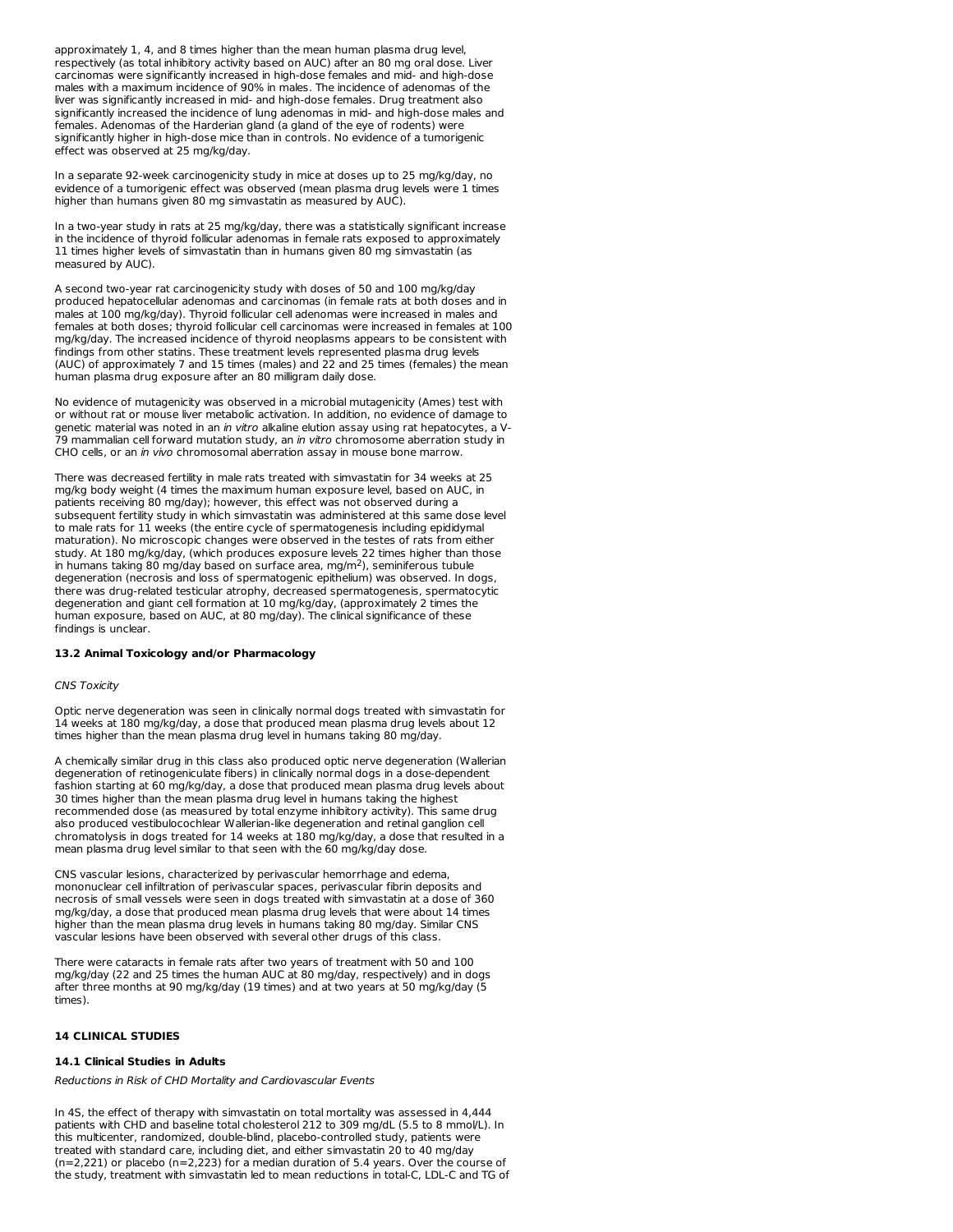approximately 1, 4, and 8 times higher than the mean human plasma drug level, respectively (as total inhibitory activity based on AUC) after an 80 mg oral dose. Liver carcinomas were significantly increased in high-dose females and mid- and high-dose males with a maximum incidence of 90% in males. The incidence of adenomas of the liver was significantly increased in mid- and high-dose females. Drug treatment also significantly increased the incidence of lung adenomas in mid- and high-dose males and females. Adenomas of the Harderian gland (a gland of the eye of rodents) were significantly higher in high-dose mice than in controls. No evidence of a tumorigenic effect was observed at 25 mg/kg/day.

In a separate 92-week carcinogenicity study in mice at doses up to 25 mg/kg/day, no evidence of a tumorigenic effect was observed (mean plasma drug levels were 1 times higher than humans given 80 mg simvastatin as measured by AUC).

In a two-year study in rats at 25 mg/kg/day, there was a statistically significant increase in the incidence of thyroid follicular adenomas in female rats exposed to approximately 11 times higher levels of simvastatin than in humans given 80 mg simvastatin (as measured by AUC).

A second two-year rat carcinogenicity study with doses of 50 and 100 mg/kg/day produced hepatocellular adenomas and carcinomas (in female rats at both doses and in males at 100 mg/kg/day). Thyroid follicular cell adenomas were increased in males and females at both doses; thyroid follicular cell carcinomas were increased in females at 100 mg/kg/day. The increased incidence of thyroid neoplasms appears to be consistent with findings from other statins. These treatment levels represented plasma drug levels (AUC) of approximately 7 and 15 times (males) and 22 and 25 times (females) the mean human plasma drug exposure after an 80 milligram daily dose.

No evidence of mutagenicity was observed in a microbial mutagenicity (Ames) test with or without rat or mouse liver metabolic activation. In addition, no evidence of damage to genetic material was noted in an *in vitro* alkaline elution assay using rat hepatocytes, a V-79 mammalian cell forward mutation study, an in vitro chromosome aberration study in CHO cells, or an in vivo chromosomal aberration assay in mouse bone marrow.

There was decreased fertility in male rats treated with simvastatin for 34 weeks at 25 mg/kg body weight (4 times the maximum human exposure level, based on AUC, in patients receiving 80 mg/day); however, this effect was not observed during a subsequent fertility study in which simvastatin was administered at this same dose level to male rats for 11 weeks (the entire cycle of spermatogenesis including epididymal maturation). No microscopic changes were observed in the testes of rats from either study. At 180 mg/kg/day, (which produces exposure levels 22 times higher than those in humans taking 80 mg/day based on surface area, mg/m<sup>2</sup>), seminiferous tubule degeneration (necrosis and loss of spermatogenic epithelium) was observed. In dogs, there was drug-related testicular atrophy, decreased spermatogenesis, spermatocytic degeneration and giant cell formation at 10 mg/kg/day, (approximately 2 times the human exposure, based on AUC, at 80 mg/day). The clinical significance of these findings is unclear.

### **13.2 Animal Toxicology and/or Pharmacology**

### CNS Toxicity

Optic nerve degeneration was seen in clinically normal dogs treated with simvastatin for 14 weeks at 180 mg/kg/day, a dose that produced mean plasma drug levels about 12 times higher than the mean plasma drug level in humans taking 80 mg/day.

A chemically similar drug in this class also produced optic nerve degeneration (Wallerian degeneration of retinogeniculate fibers) in clinically normal dogs in a dose-dependent fashion starting at 60 mg/kg/day, a dose that produced mean plasma drug levels about 30 times higher than the mean plasma drug level in humans taking the highest recommended dose (as measured by total enzyme inhibitory activity). This same drug also produced vestibulocochlear Wallerian-like degeneration and retinal ganglion cell chromatolysis in dogs treated for 14 weeks at 180 mg/kg/day, a dose that resulted in a mean plasma drug level similar to that seen with the 60 mg/kg/day dose.

CNS vascular lesions, characterized by perivascular hemorrhage and edema, mononuclear cell infiltration of perivascular spaces, perivascular fibrin deposits and necrosis of small vessels were seen in dogs treated with simvastatin at a dose of 360 mg/kg/day, a dose that produced mean plasma drug levels that were about 14 times higher than the mean plasma drug levels in humans taking 80 mg/day. Similar CNS vascular lesions have been observed with several other drugs of this class.

There were cataracts in female rats after two years of treatment with 50 and 100 mg/kg/day (22 and 25 times the human AUC at 80 mg/day, respectively) and in dogs after three months at 90 mg/kg/day (19 times) and at two years at 50 mg/kg/day (5 times).

# **14 CLINICAL STUDIES**

### **14.1 Clinical Studies in Adults**

Reductions in Risk of CHD Mortality and Cardiovascular Events

In 4S, the effect of therapy with simvastatin on total mortality was assessed in 4,444 patients with CHD and baseline total cholesterol 212 to 309 mg/dL (5.5 to 8 mmol/L). In this multicenter, randomized, double-blind, placebo-controlled study, patients were treated with standard care, including diet, and either simvastatin 20 to 40 mg/day (n=2,221) or placebo (n=2,223) for a median duration of 5.4 years. Over the course of the study, treatment with simvastatin led to mean reductions in total-C, LDL-C and TG of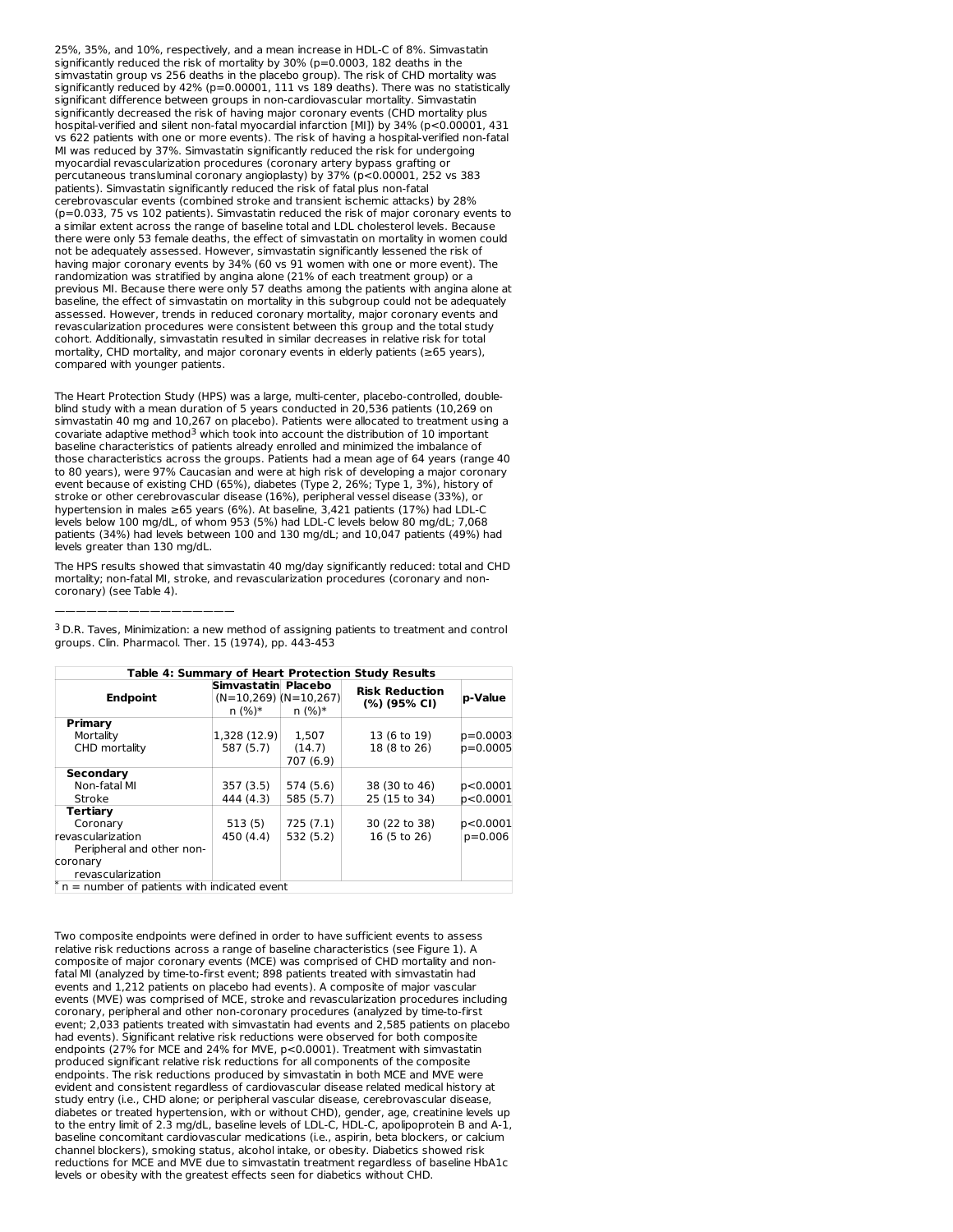25%, 35%, and 10%, respectively, and a mean increase in HDL-C of 8%. Simvastatin significantly reduced the risk of mortality by 30% (p=0.0003, 182 deaths in the simvastatin group vs 256 deaths in the placebo group). The risk of CHD mortality was significantly reduced by 42% (p=0.00001, 111 vs 189 deaths). There was no statistically significant difference between groups in non-cardiovascular mortality. Simvastatin significantly decreased the risk of having major coronary events (CHD mortality plus hospital-verified and silent non-fatal myocardial infarction [MI]) by 34% (p<0.00001, 431 vs 622 patients with one or more events). The risk of having a hospital-verified non-fatal MI was reduced by 37%. Simvastatin significantly reduced the risk for undergoing myocardial revascularization procedures (coronary artery bypass grafting or percutaneous transluminal coronary angioplasty) by 37% (p<0.00001, 252 vs 383 patients). Simvastatin significantly reduced the risk of fatal plus non-fatal cerebrovascular events (combined stroke and transient ischemic attacks) by 28% (p=0.033, 75 vs 102 patients). Simvastatin reduced the risk of major coronary events to a similar extent across the range of baseline total and LDL cholesterol levels. Because there were only 53 female deaths, the effect of simvastatin on mortality in women could not be adequately assessed. However, simvastatin significantly lessened the risk of having major coronary events by 34% (60 vs 91 women with one or more event). The randomization was stratified by angina alone (21% of each treatment group) or a previous MI. Because there were only 57 deaths among the patients with angina alone at baseline, the effect of simvastatin on mortality in this subgroup could not be adequately assessed. However, trends in reduced coronary mortality, major coronary events and revascularization procedures were consistent between this group and the total study cohort. Additionally, simvastatin resulted in similar decreases in relative risk for total mortality, CHD mortality, and major coronary events in elderly patients (≥65 years), compared with younger patients.

The Heart Protection Study (HPS) was a large, multi-center, placebo-controlled, doubleblind study with a mean duration of 5 years conducted in 20,536 patients (10,269 on simvastatin 40 mg and 10,267 on placebo). Patients were allocated to treatment using a covariate adaptive method<sup>3</sup> which took into account the distribution of 10 important baseline characteristics of patients already enrolled and minimized the imbalance of those characteristics across the groups. Patients had a mean age of 64 years (range 40 to 80 years), were 97% Caucasian and were at high risk of developing a major coronary event because of existing CHD (65%), diabetes (Type 2, 26%; Type 1, 3%), history of stroke or other cerebrovascular disease (16%), peripheral vessel disease (33%), or hypertension in males ≥65 years (6%). At baseline, 3,421 patients (17%) had LDL-C levels below 100 mg/dL, of whom 953 (5%) had LDL-C levels below 80 mg/dL; 7,068 patients (34%) had levels between 100 and 130 mg/dL; and 10,047 patients (49%) had levels greater than 130 mg/dL.

The HPS results showed that simvastatin 40 mg/day significantly reduced: total and CHD mortality; non-fatal MI, stroke, and revascularization procedures (coronary and noncoronary) (see Table 4).

| Table 4: Summary of Heart Protection Study Results                                 |                                                              |                              |                                       |                        |  |  |  |  |
|------------------------------------------------------------------------------------|--------------------------------------------------------------|------------------------------|---------------------------------------|------------------------|--|--|--|--|
| <b>Endpoint</b>                                                                    | Simvastatin Placebo<br>$(N=10.269)$ $(N=10.267)$<br>$n (%)*$ | $n (%)*$                     | <b>Risk Reduction</b><br>(%) (95% CI) | p-Value                |  |  |  |  |
| Primary<br>Mortality<br>CHD mortality                                              | 1,328 (12.9)<br>587 (5.7)                                    | 1.507<br>(14.7)<br>707 (6.9) | 13 (6 to 19)<br>18 (8 to 26)          | p=0.0003<br>$p=0.0005$ |  |  |  |  |
| <b>Secondary</b><br>Non-fatal MI<br>Stroke                                         | 357 (3.5)<br>444 (4.3)                                       | 574 (5.6)<br>585 (5.7)       | 38 (30 to 46)<br>25 (15 to 34)        | p<0.0001<br>p<0.0001   |  |  |  |  |
| Tertiary<br>Coronary<br>revascularization<br>Peripheral and other non-             | 513(5)<br>450 (4.4)                                          | 725(7.1)<br>532 (5.2)        | 30 (22 to 38)<br>16 (5 to 26)         | p<0.0001<br>$p=0.006$  |  |  |  |  |
| coronary<br>revascularization<br>$\pi$ n = number of patients with indicated event |                                                              |                              |                                       |                        |  |  |  |  |

 $3$  D.R. Taves, Minimization: a new method of assigning patients to treatment and control groups. Clin. Pharmacol. Ther. 15 (1974), pp. 443-453

—————————————————

Two composite endpoints were defined in order to have sufficient events to assess relative risk reductions across a range of baseline characteristics (see Figure 1). A composite of major coronary events (MCE) was comprised of CHD mortality and nonfatal MI (analyzed by time-to-first event; 898 patients treated with simvastatin had events and 1,212 patients on placebo had events). A composite of major vascular events (MVE) was comprised of MCE, stroke and revascularization procedures including coronary, peripheral and other non-coronary procedures (analyzed by time-to-first event; 2,033 patients treated with simvastatin had events and 2,585 patients on placebo had events). Significant relative risk reductions were observed for both composite endpoints (27% for MCE and 24% for MVE, p<0.0001). Treatment with simvastatin produced significant relative risk reductions for all components of the composite endpoints. The risk reductions produced by simvastatin in both MCE and MVE were evident and consistent regardless of cardiovascular disease related medical history at study entry (i.e., CHD alone; or peripheral vascular disease, cerebrovascular disease, diabetes or treated hypertension, with or without CHD), gender, age, creatinine levels up to the entry limit of 2.3 mg/dL, baseline levels of LDL-C, HDL-C, apolipoprotein B and A-1, baseline concomitant cardiovascular medications (i.e., aspirin, beta blockers, or calcium channel blockers), smoking status, alcohol intake, or obesity. Diabetics showed risk reductions for MCE and MVE due to simvastatin treatment regardless of baseline HbA1c levels or obesity with the greatest effects seen for diabetics without CHD.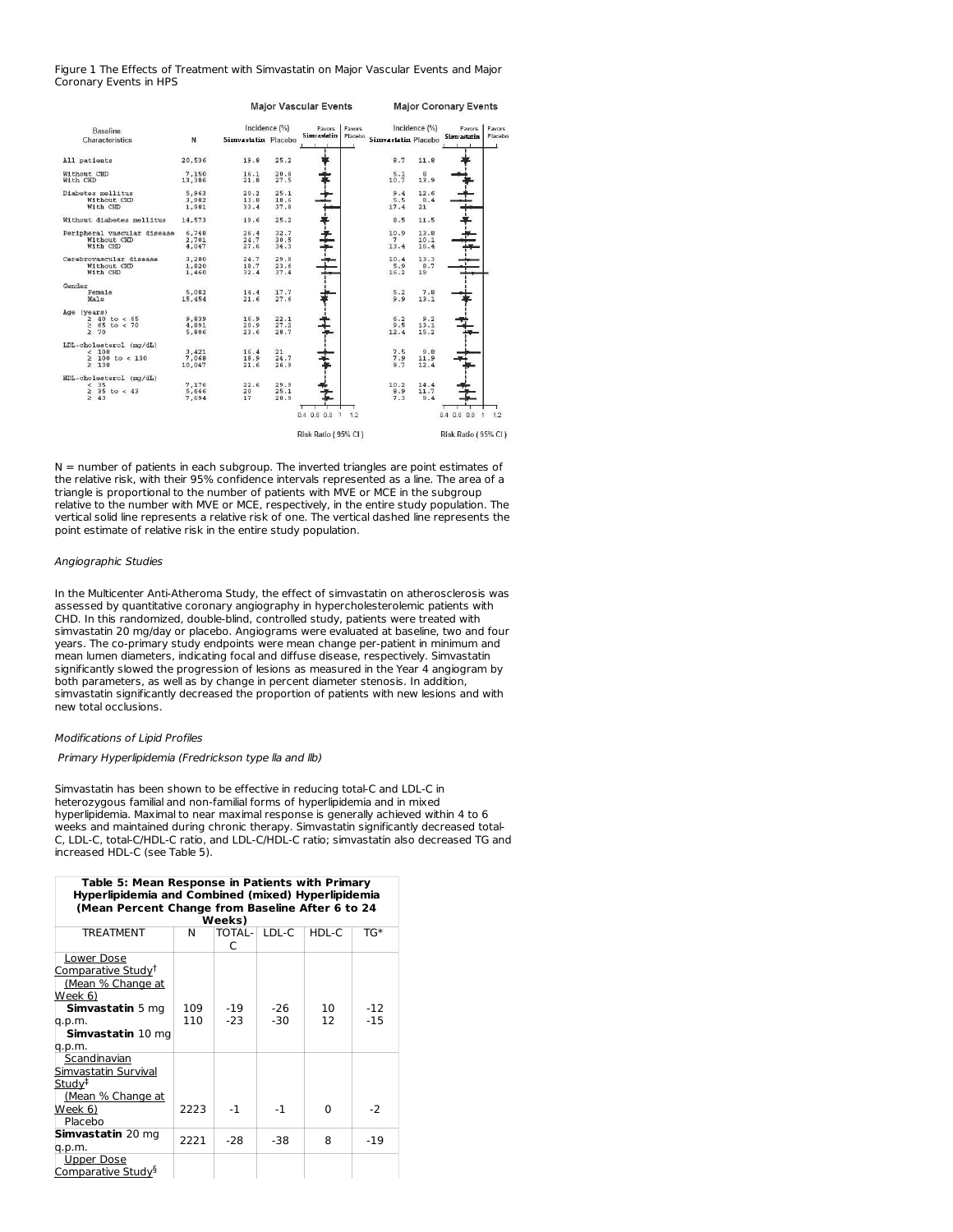### Figure 1 The Effects of Treatment with Simvastatin on Major Vascular Events and Major Coronary Events in HPS

|                                                                       |                          | <b>Major Vascular Events</b> |                      |                                                      | <b>Major Coronary Events</b> |                     |                      |                                      |         |
|-----------------------------------------------------------------------|--------------------------|------------------------------|----------------------|------------------------------------------------------|------------------------------|---------------------|----------------------|--------------------------------------|---------|
| <b>Baseline</b>                                                       |                          |                              | Incidence (%)        | Favors                                               | Favors                       |                     | Incidence (%)        | Favors                               | Favors  |
| Characteristics                                                       | N                        | Simvastatin Placebo          |                      | <b>Simvastatin</b>                                   | Placebo                      | Simvastatin Placebo |                      | <b>Simvastatin</b>                   | Placebo |
| All patients                                                          | 20,536                   | 19.8                         | 25.2                 |                                                      |                              | 8.7                 | 11.8                 |                                      |         |
| Without CHD<br>With CHD                                               | 7.150<br>13,386          | 16.1<br>21.8                 | 20.8<br>27.5         |                                                      |                              | 5.1<br>10.7         | 8<br>13.9            |                                      |         |
| Diabetes mellitus<br>Without CHD<br>With CHD                          | 5,963<br>3,982<br>1.981  | 20.2<br>13.8<br>33.4         | 25.1<br>18.6<br>37.8 |                                                      |                              | 9.4<br>5.5<br>17.4  | 12.6<br>8.4<br>21    |                                      |         |
| Without diabetes mellitus                                             | 14,573                   | 19.6                         | 25.2                 |                                                      |                              | 8.5                 | 11.5                 |                                      |         |
| Peripheral vascular disease<br>Without CHD<br>With CHD                | 6,748<br>2,701<br>4,047  | 26.4<br>24.7<br>27.6         | 32.7<br>30.5<br>34.3 |                                                      |                              | 10.9<br>7<br>13.4   | 13.8<br>10.1<br>16.4 |                                      |         |
| Cerebrovascular disease<br>Without CHD<br>With CHD                    | 3,280<br>1,820<br>1,460  | 24.7<br>18.7<br>32.4         | 29.8<br>23.6<br>37.4 |                                                      |                              | 10.4<br>5.9<br>16.2 | 13.3<br>8.7<br>19    |                                      |         |
| Gender<br>Female<br>Male                                              | 5.082<br>15,454          | 14.4<br>21.6                 | 17.7<br>27.6         |                                                      |                              | 5.2<br>9.9          | 7.8<br>13.1          |                                      |         |
| Age (years)<br>$\geq 40$ to < 65<br>$\geq 65$ to < 70<br>$\geq 70$    | 9.839<br>4,891<br>5,806  | 16.9<br>20.9<br>23.6         | 22.1<br>27.2<br>28.7 |                                                      |                              | 6.2<br>9.5<br>12.4  | 9.2<br>13.1<br>15.2  |                                      |         |
| LDL-cholesterol (mg/dL)<br>< 100<br>$\geq 100$ to < 130<br>$\geq$ 130 | 3.421<br>7.068<br>10,047 | 16.4<br>18.9<br>21.6         | 21<br>24.7<br>26.9   |                                                      |                              | 7.5<br>7.9<br>9.7   | 9.8<br>11.9<br>12.4  |                                      |         |
| HDL-cholesterol (mg/dL)<br>< 35<br>$\geq$ 35 to < 43<br>$\geq 43$     | 7.176<br>5,666<br>7.694  | 22.6<br>20<br>17             | 29.9<br>25.1<br>20.9 |                                                      |                              | 10.2<br>8.9<br>7.3  | 14.4<br>11.7<br>9.4  |                                      |         |
|                                                                       |                          |                              |                      | $0.4$ 0.6 0.8<br>$\mathbf{1}$<br>Risk Ratio (95% CI) | 1.2                          |                     |                      | $0.4$ 0.6 0.8<br>Risk Ratio (95% CI) | 1.2     |

 $N =$  number of patients in each subgroup. The inverted triangles are point estimates of the relative risk, with their 95% confidence intervals represented as a line. The area of a triangle is proportional to the number of patients with MVE or MCE in the subgroup relative to the number with MVE or MCE, respectively, in the entire study population. The vertical solid line represents a relative risk of one. The vertical dashed line represents the point estimate of relative risk in the entire study population.

# Angiographic Studies

In the Multicenter Anti-Atheroma Study, the effect of simvastatin on atherosclerosis was assessed by quantitative coronary angiography in hypercholesterolemic patients with CHD. In this randomized, double-blind, controlled study, patients were treated with simvastatin 20 mg/day or placebo. Angiograms were evaluated at baseline, two and four years. The co-primary study endpoints were mean change per-patient in minimum and mean lumen diameters, indicating focal and diffuse disease, respectively. Simvastatin significantly slowed the progression of lesions as measured in the Year 4 angiogram by both parameters, as well as by change in percent diameter stenosis. In addition, simvastatin significantly decreased the proportion of patients with new lesions and with new total occlusions.

#### Modifications of Lipid Profiles

#### Primary Hyperlipidemia (Fredrickson type lla and llb)

Simvastatin has been shown to be effective in reducing total-C and LDL-C in heterozygous familial and non-familial forms of hyperlipidemia and in mixed hyperlipidemia. Maximal to near maximal response is generally achieved within 4 to 6 weeks and maintained during chronic therapy. Simvastatin significantly decreased total- C, LDL-C, total-C/HDL-C ratio, and LDL-C/HDL-C ratio; simvastatin also decreased TG and increased HDL-C (see Table 5).

| Table 5: Mean Response in Patients with Primary<br>Hyperlipidemia and Combined (mixed) Hyperlipidemia<br>(Mean Percent Change from Baseline After 6 to 24 |            |                |                |          |                |  |  |
|-----------------------------------------------------------------------------------------------------------------------------------------------------------|------------|----------------|----------------|----------|----------------|--|--|
|                                                                                                                                                           |            | Weeks)         |                |          |                |  |  |
| <b>TREATMENT</b>                                                                                                                                          | N          | TOTAL-<br>C    | LDL-C          | HDL-C    | TG*            |  |  |
| Lower Dose<br>Comparative Study <sup>†</sup><br>(Mean % Change at<br>Week 6)<br><b>Simvastatin</b> 5 mg<br>q.p.m.<br>Simvastatin 10 mg<br>q.p.m.          | 109<br>110 | $-19$<br>$-23$ | $-26$<br>$-30$ | 10<br>12 | $-12$<br>$-15$ |  |  |
| Scandinavian<br>Simvastatin Survival<br>Study <sup>‡</sup><br>(Mean % Change at<br>Week 6)<br>Placebo                                                     | 2223       | $-1$           | $-1$           | O        | $-2$           |  |  |
| Simvastatin 20 mg<br>q.p.m.                                                                                                                               | 2221       | $-28$          | $-38$          | 8        | $-19$          |  |  |
| Upper Dose<br>Comparative Study <sup>§</sup>                                                                                                              |            |                |                |          |                |  |  |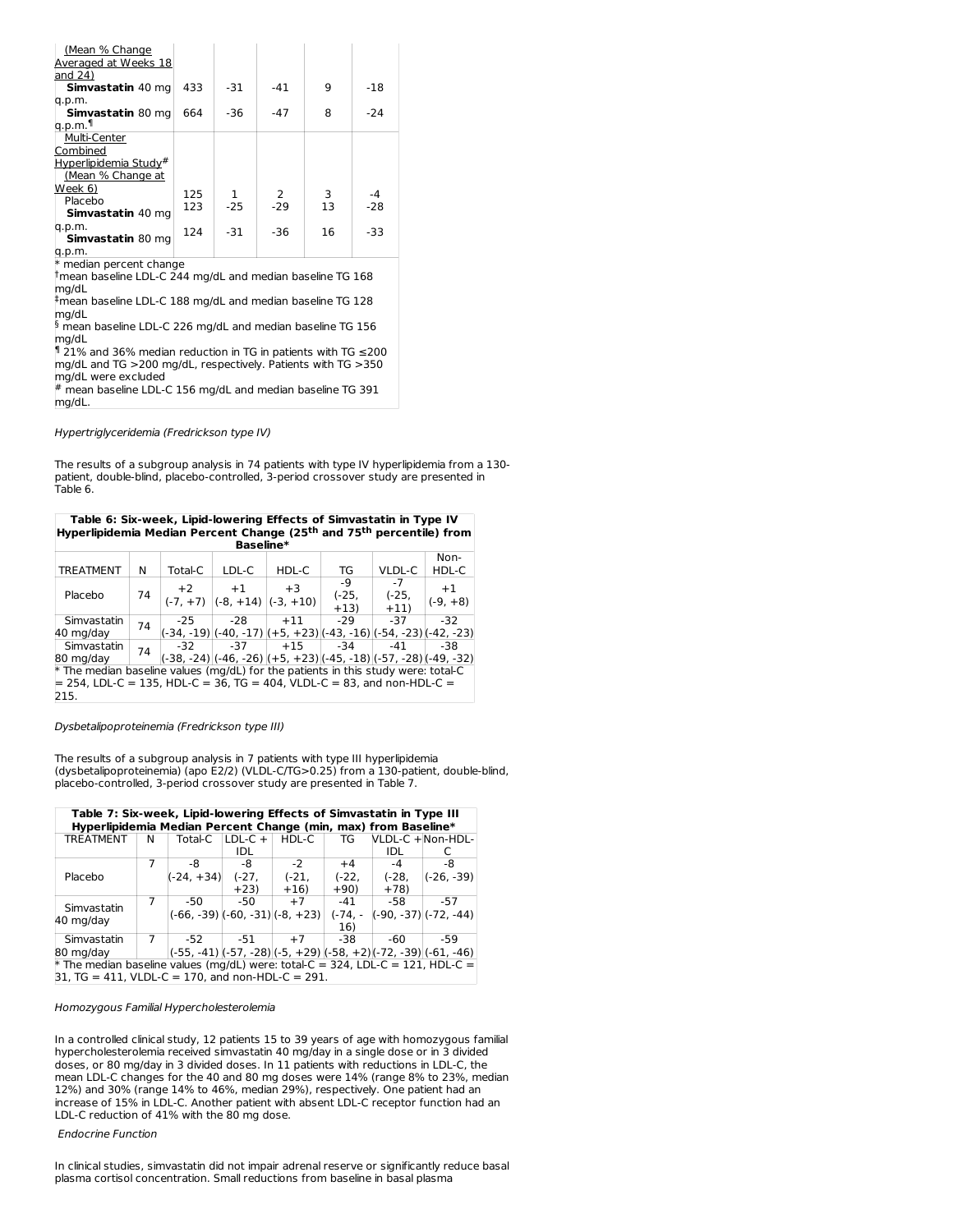| <u>(Mean % Change</u><br>Averaged at Weeks 18<br>land 24)                |     |       |       |    |       |  |
|--------------------------------------------------------------------------|-----|-------|-------|----|-------|--|
| Simvastatin 40 mg                                                        | 433 | $-31$ | $-41$ | 9  | $-18$ |  |
| q.p.m.                                                                   |     |       |       |    |       |  |
| Simvastatin 80 mg                                                        | 664 | $-36$ | $-47$ | 8  | $-24$ |  |
| q.p.m.¶                                                                  |     |       |       |    |       |  |
| Multi-Center                                                             |     |       |       |    |       |  |
| Combined                                                                 |     |       |       |    |       |  |
| Hyperlipidemia Study#                                                    |     |       |       |    |       |  |
| (Mean % Change at                                                        |     |       |       |    |       |  |
| Week 6)                                                                  | 125 | 1     | 2     | 3  | $-4$  |  |
| Placebo                                                                  | 123 | $-25$ | $-29$ | 13 | $-28$ |  |
| Simvastatin 40 mg                                                        |     |       |       |    |       |  |
| q.p.m.                                                                   | 124 | $-31$ | $-36$ | 16 | $-33$ |  |
| Simvastatin 80 mg                                                        |     |       |       |    |       |  |
| q.p.m.                                                                   |     |       |       |    |       |  |
| * median percent change                                                  |     |       |       |    |       |  |
| $^\dagger$ mean baseline LDL-C 244 mg/dL and median baseline TG 168      |     |       |       |    |       |  |
| mg/dL                                                                    |     |       |       |    |       |  |
| #mean baseline LDL-C 188 mg/dL and median baseline TG 128                |     |       |       |    |       |  |
| mg/dL                                                                    |     |       |       |    |       |  |
| $\frac{5}{2}$ mean baseline LDL-C 226 mg/dL and median baseline TG 156   |     |       |       |    |       |  |
| mg/dL                                                                    |     |       |       |    |       |  |
| <sup>¶</sup> 21% and 36% median reduction in TG in patients with TG ≤200 |     |       |       |    |       |  |
| mg/dL and TG >200 mg/dL, respectively. Patients with TG >350             |     |       |       |    |       |  |
| mg/dL were excluded                                                      |     |       |       |    |       |  |
| $^{\#}$ mean baseline LDL-C 156 mg/dL and median baseline TG 391         |     |       |       |    |       |  |
| mg/dL.                                                                   |     |       |       |    |       |  |

Hypertriglyceridemia (Fredrickson type IV)

The results of a subgroup analysis in 74 patients with type IV hyperlipidemia from a 130 patient, double-blind, placebo-controlled, 3-period crossover study are presented in Table 6.

| Table 6: Six-week, Lipid-lowering Effects of Simvastatin in Type IV                          |    |         |                                    |                                                                   |         |         |            |  |  |  |
|----------------------------------------------------------------------------------------------|----|---------|------------------------------------|-------------------------------------------------------------------|---------|---------|------------|--|--|--|
| Hyperlipidemia Median Percent Change (25 <sup>th</sup> and 75 <sup>th</sup> percentile) from |    |         |                                    |                                                                   |         |         |            |  |  |  |
| Baseline*                                                                                    |    |         |                                    |                                                                   |         |         |            |  |  |  |
|                                                                                              |    |         |                                    |                                                                   |         |         | Non-       |  |  |  |
| <b>TREATMENT</b>                                                                             | N  | Total-C | LDL-C                              | HDL-C                                                             | TG      | VLDL-C  | HDL-C      |  |  |  |
|                                                                                              |    | $+2$    | $+1$                               | $+3$                                                              | -9      | $-7$    | $+1$       |  |  |  |
| Placebo                                                                                      | 74 |         | $(-7, +7)$ $(-8, +14)$ $(-3, +10)$ |                                                                   | $(-25,$ | $(-25,$ | $(-9, +8)$ |  |  |  |
|                                                                                              |    |         |                                    |                                                                   | $+13)$  | $+11)$  |            |  |  |  |
| Simvastatin                                                                                  | 74 | $-25$   | -28                                | $+11$                                                             | $-29$   | $-37$   | $-32$      |  |  |  |
| 40 mg/day                                                                                    |    |         |                                    | (-34, -19) (-40, -17) ((+5, +23) (-43, -16) (-54, -23) (-42, -23) |         |         |            |  |  |  |
| Simvastatin                                                                                  | 74 | $-32$   | -37                                | $+15$                                                             | -34     | -41     | -38        |  |  |  |
| (-38, -24) (-46, -26) ((+5, +23) (-45, -18) (-57, -28) (-49, -32)<br>80 mg/day               |    |         |                                    |                                                                   |         |         |            |  |  |  |
| $*$ The median baseline values (mg/dL) for the patients in this study were: total-C          |    |         |                                    |                                                                   |         |         |            |  |  |  |
| $=$ 254. LDL-C = 135. HDL-C = 36. TG = 404. VLDL-C = 83. and non-HDL-C =                     |    |         |                                    |                                                                   |         |         |            |  |  |  |
| 215.                                                                                         |    |         |                                    |                                                                   |         |         |            |  |  |  |

Dysbetalipoproteinemia (Fredrickson type III)

The results of a subgroup analysis in 7 patients with type III hyperlipidemia (dysbetalipoproteinemia) (apo E2/2) (VLDL-C/TG>0.25) from a 130-patient, double-blind, placebo-controlled, 3-period crossover study are presented in Table 7.

| Table 7: Six-week, Lipid-lowering Effects of Simvastatin in Type III<br>Hyperlipidemia Median Percent Change (min, max) from Baseline* |                  |                                       |                      |         |           |         |                           |  |
|----------------------------------------------------------------------------------------------------------------------------------------|------------------|---------------------------------------|----------------------|---------|-----------|---------|---------------------------|--|
| TREATMENT                                                                                                                              | N                |                                       | Total-C $ LDL-C +  $ | HDL-C   | TG        |         | VLDL-C +Non-HDL-          |  |
|                                                                                                                                        |                  |                                       | IDL                  |         |           | IDL     |                           |  |
|                                                                                                                                        |                  | -8                                    | -8                   | $-2$    | $+4$      | $-4$    | -8                        |  |
| Placebo                                                                                                                                |                  | (-24, +34)                            | $(-27)$              | $(-21,$ | $(-22,$   | $(-28)$ | $(-26, -39)$              |  |
|                                                                                                                                        |                  |                                       | $+23)$               | $+16)$  | $+90)$    | $+78$   |                           |  |
| Simvastatin                                                                                                                            |                  | -50                                   | $-50$                | $+7$    | $-41$     | -58     | -57                       |  |
|                                                                                                                                        |                  | $(-66, -39)$ $(-60, -31)$ $(-8, +23)$ |                      |         | $(-74. -$ |         | $(-90, -37)$ $(-72, -44)$ |  |
|                                                                                                                                        | 40 mg/day<br>16) |                                       |                      |         |           |         |                           |  |
| Simvastatin                                                                                                                            |                  | -52                                   | -51                  | $+7$    | -38       | -60     | -59                       |  |
| (-55, -41) (-57, -28) (-5, +29) (-58, +2) (-72, -39) (-61, -46)<br>80 mg/day                                                           |                  |                                       |                      |         |           |         |                           |  |
| $*$ The median baseline values (mg/dL) were: total-C = 324, LDL-C = 121, HDL-C =                                                       |                  |                                       |                      |         |           |         |                           |  |
| $31, TG = 411, VLDL-C = 170, and non-HDL-C = 291.$                                                                                     |                  |                                       |                      |         |           |         |                           |  |

## Homozygous Familial Hypercholesterolemia

In a controlled clinical study, 12 patients 15 to 39 years of age with homozygous familial hypercholesterolemia received simvastatin 40 mg/day in a single dose or in 3 divided doses, or 80 mg/day in 3 divided doses. In 11 patients with reductions in LDL-C, the mean LDL-C changes for the 40 and 80 mg doses were 14% (range 8% to 23%, median 12%) and 30% (range 14% to 46%, median 29%), respectively. One patient had an increase of 15% in LDL-C. Another patient with absent LDL-C receptor function had an LDL-C reduction of 41% with the 80 mg dose.

# Endocrine Function

In clinical studies, simvastatin did not impair adrenal reserve or significantly reduce basal plasma cortisol concentration. Small reductions from baseline in basal plasma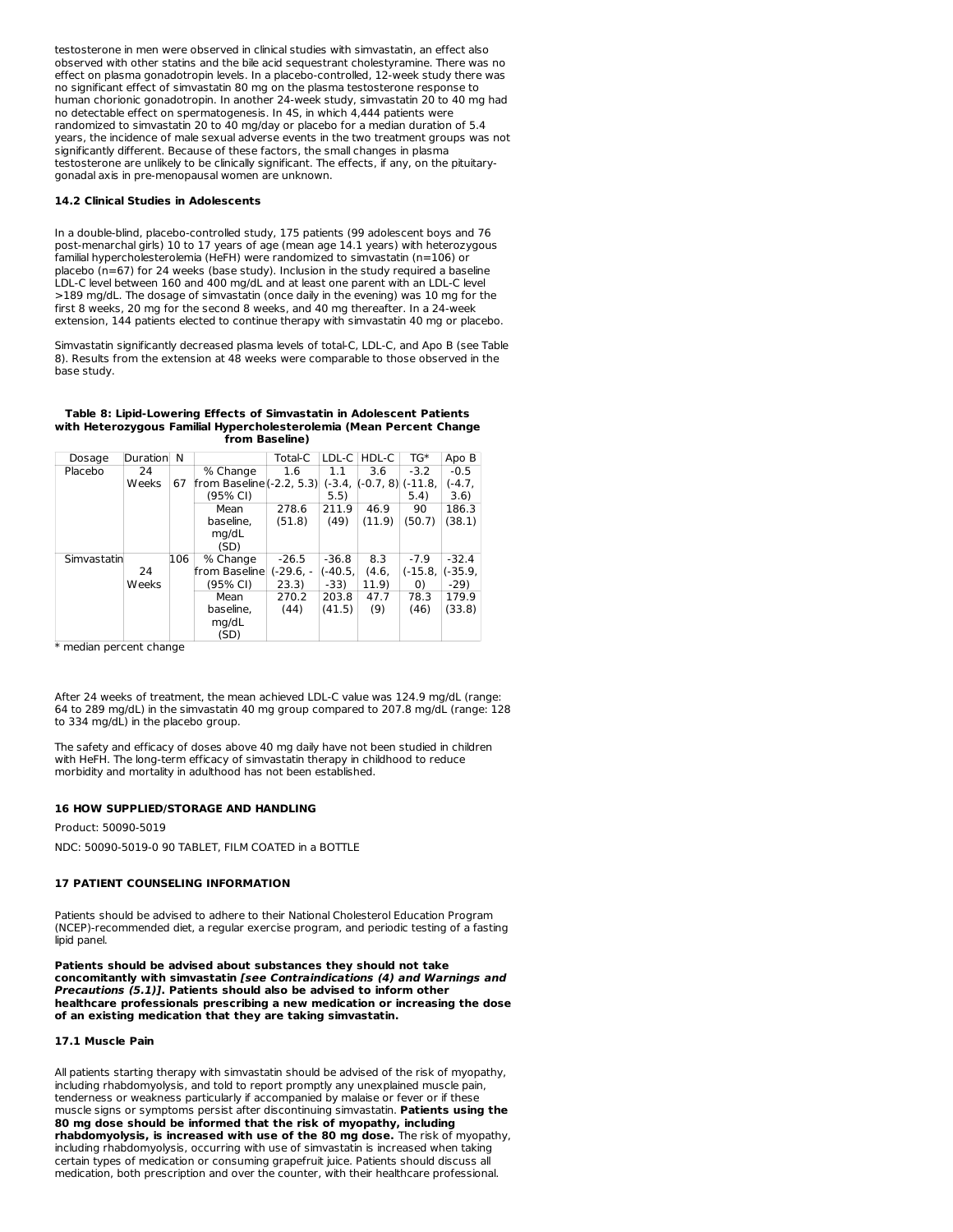testosterone in men were observed in clinical studies with simvastatin, an effect also observed with other statins and the bile acid sequestrant cholestyramine. There was no effect on plasma gonadotropin levels. In a placebo-controlled, 12-week study there was no significant effect of simvastatin 80 mg on the plasma testosterone response to human chorionic gonadotropin. In another 24-week study, simvastatin 20 to 40 mg had no detectable effect on spermatogenesis. In 4S, in which 4,444 patients were randomized to simvastatin 20 to 40 mg/day or placebo for a median duration of 5.4 years, the incidence of male sexual adverse events in the two treatment groups was not significantly different. Because of these factors, the small changes in plasma testosterone are unlikely to be clinically significant. The effects, if any, on the pituitarygonadal axis in pre-menopausal women are unknown.

#### **14.2 Clinical Studies in Adolescents**

In a double-blind, placebo-controlled study, 175 patients (99 adolescent boys and 76 post-menarchal girls) 10 to 17 years of age (mean age 14.1 years) with heterozygous familial hypercholesterolemia (HeFH) were randomized to simvastatin (n=106) or placebo (n=67) for 24 weeks (base study). Inclusion in the study required a baseline LDL-C level between 160 and 400 mg/dL and at least one parent with an LDL-C level >189 mg/dL. The dosage of simvastatin (once daily in the evening) was 10 mg for the first 8 weeks, 20 mg for the second 8 weeks, and 40 mg thereafter. In a 24-week extension, 144 patients elected to continue therapy with simvastatin 40 mg or placebo.

Simvastatin significantly decreased plasma levels of total-C, LDL-C, and Apo B (see Table 8). Results from the extension at 48 weeks were comparable to those observed in the base study.

#### **Table 8: Lipid-Lowering Effects of Simvastatin in Adolescent Patients with Heterozygous Familial Hypercholesterolemia (Mean Percent Change from Baseline)**

| Dosage      | Duration | N   |                             | Total-C    | LDL-C    | HDL-C                 | TG*       | Apo B     |
|-------------|----------|-----|-----------------------------|------------|----------|-----------------------|-----------|-----------|
| Placebo     | 24       |     | % Change                    | 1.6        | 1.1      | 3.6                   | $-3.2$    | $-0.5$    |
|             | Weeks    | 67  | from Baseline $(-2.2, 5.3)$ |            | $(-3.4,$ | $(-0.7, 8)$ $(-11.8,$ |           | $(-4.7.$  |
|             |          |     | (95% CI)                    |            | 5.5)     |                       | 5.4)      | 3.6)      |
|             |          |     | Mean                        | 278.6      | 211.9    | 46.9                  | 90        | 186.3     |
|             |          |     | baseline,                   | (51.8)     | (49)     | (11.9)                | (50.7)    | (38.1)    |
|             |          |     | mg/dL                       |            |          |                       |           |           |
|             |          |     | (SD)                        |            |          |                       |           |           |
| Simvastatin |          | 106 | % Change                    | $-26.5$    | $-36.8$  | 8.3                   | $-7.9$    | $-32.4$   |
|             | 24       |     | from Baselinel              | $(-29.6.-$ | (-40.5.  | (4.6,                 | $(-15.8.$ | $(-35.9,$ |
|             | Weeks    |     | (95% CI)                    | 23.3)      | $-33)$   | 11.9)                 | O)        | $-29)$    |
|             |          |     | Mean                        | 270.2      | 203.8    | 47.7                  | 78.3      | 179.9     |
|             |          |     | baseline.                   | (44)       | (41.5)   | (9)                   | (46)      | (33.8)    |
|             |          |     | mg/dL                       |            |          |                       |           |           |
|             |          |     | (SD)                        |            |          |                       |           |           |

\* median percent change

After 24 weeks of treatment, the mean achieved LDL-C value was 124.9 mg/dL (range: 64 to 289 mg/dL) in the simvastatin 40 mg group compared to 207.8 mg/dL (range: 128 to 334 mg/dL) in the placebo group.

The safety and efficacy of doses above 40 mg daily have not been studied in children with HeFH. The long-term efficacy of simvastatin therapy in childhood to reduce morbidity and mortality in adulthood has not been established.

### **16 HOW SUPPLIED/STORAGE AND HANDLING**

Product: 50090-5019 NDC: 50090-5019-0 90 TABLET, FILM COATED in a BOTTLE

### **17 PATIENT COUNSELING INFORMATION**

Patients should be advised to adhere to their National Cholesterol Education Program (NCEP)-recommended diet, a regular exercise program, and periodic testing of a fasting lipid panel.

**Patients should be advised about substances they should not take concomitantly with simvastatin [see Contraindications (4) and Warnings and Precautions (5.1)]. Patients should also be advised to inform other healthcare professionals prescribing a new medication or increasing the dose of an existing medication that they are taking simvastatin.**

#### **17.1 Muscle Pain**

All patients starting therapy with simvastatin should be advised of the risk of myopathy, including rhabdomyolysis, and told to report promptly any unexplained muscle pain, tenderness or weakness particularly if accompanied by malaise or fever or if these muscle signs or symptoms persist after discontinuing simvastatin. **Patients using the 80 mg dose should be informed that the risk of myopathy, including rhabdomyolysis, is increased with use of the 80 mg dose.** The risk of myopathy, including rhabdomyolysis, occurring with use of simvastatin is increased when taking certain types of medication or consuming grapefruit juice. Patients should discuss all medication, both prescription and over the counter, with their healthcare professional.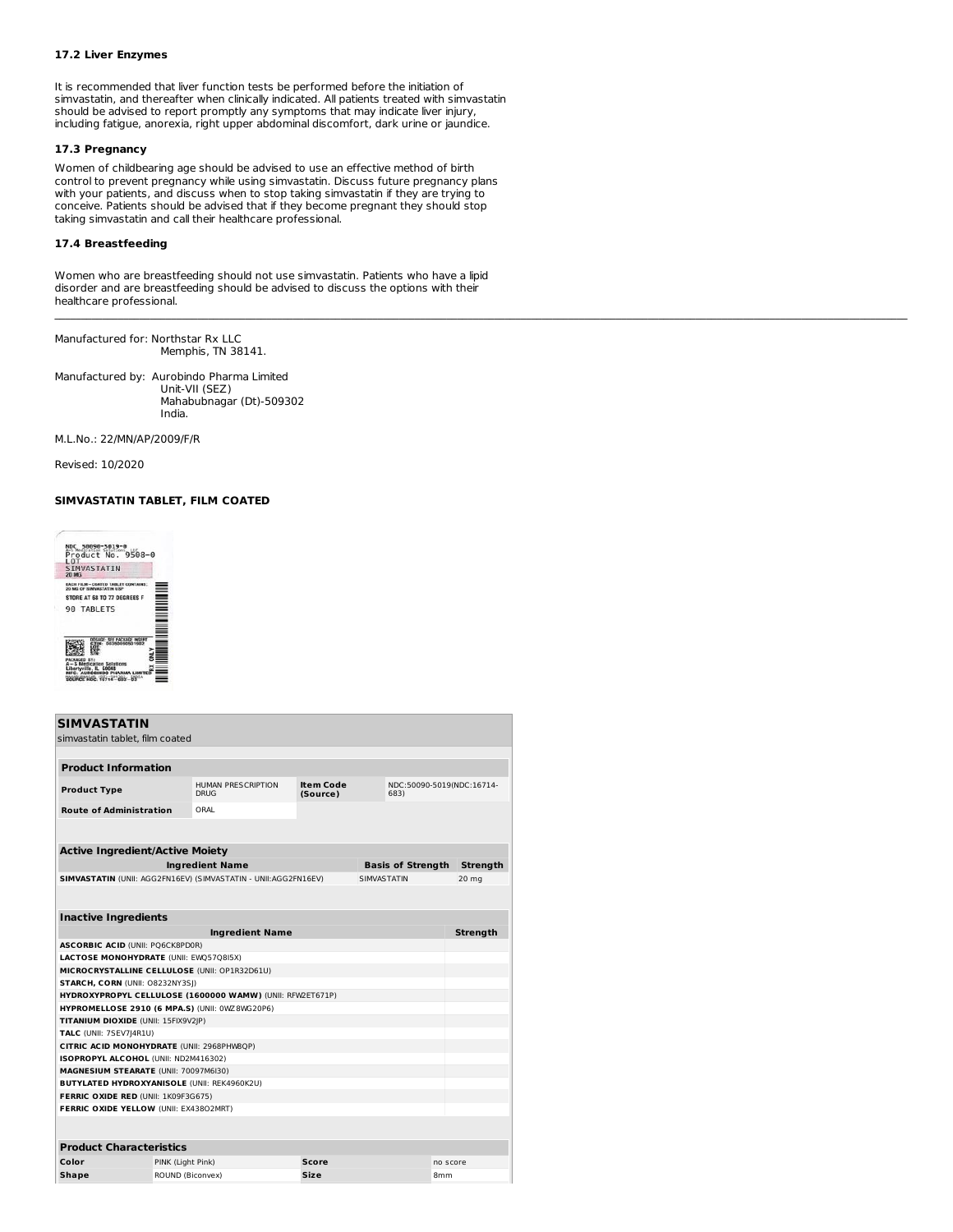# **17.2 Liver Enzymes**

It is recommended that liver function tests be performed before the initiation of simvastatin, and thereafter when clinically indicated. All patients treated with simvastatin should be advised to report promptly any symptoms that may indicate liver injury, including fatigue, anorexia, right upper abdominal discomfort, dark urine or jaundice.

# **17.3 Pregnancy**

Women of childbearing age should be advised to use an effective method of birth control to prevent pregnancy while using simvastatin. Discuss future pregnancy plans with your patients, and discuss when to stop taking simvastatin if they are trying to conceive. Patients should be advised that if they become pregnant they should stop taking simvastatin and call their healthcare professional.

### **17.4 Breastfeeding**

Women who are breastfeeding should not use simvastatin. Patients who have a lipid disorder and are breastfeeding should be advised to discuss the options with their healthcare professional.

 $\mathcal{L}_\text{max} = \mathcal{L}_\text{max} = \mathcal{L}_\text{max} = \mathcal{L}_\text{max} = \mathcal{L}_\text{max} = \mathcal{L}_\text{max} = \mathcal{L}_\text{max} = \mathcal{L}_\text{max} = \mathcal{L}_\text{max} = \mathcal{L}_\text{max} = \mathcal{L}_\text{max} = \mathcal{L}_\text{max} = \mathcal{L}_\text{max} = \mathcal{L}_\text{max} = \mathcal{L}_\text{max} = \mathcal{L}_\text{max} = \mathcal{L}_\text{max} = \mathcal{L}_\text{max} = \mathcal{$ 

Manufactured for: Northstar Rx LLC Memphis, TN 38141.

Manufactured by: Aurobindo Pharma Limited Unit-VII (SEZ) Mahabubnagar (Dt)-509302 India.

M.L.No.: 22/MN/AP/2009/F/R

Revised: 10/2020

# **SIMVASTATIN TABLET, FILM COATED**



| <b>SIMVASTATIN</b>                                    |                   |                                                                 |                                                                   |                    |                          |                 |                 |  |
|-------------------------------------------------------|-------------------|-----------------------------------------------------------------|-------------------------------------------------------------------|--------------------|--------------------------|-----------------|-----------------|--|
| simvastatin tablet, film coated                       |                   |                                                                 |                                                                   |                    |                          |                 |                 |  |
|                                                       |                   |                                                                 |                                                                   |                    |                          |                 |                 |  |
| <b>Product Information</b>                            |                   |                                                                 |                                                                   |                    |                          |                 |                 |  |
|                                                       |                   |                                                                 |                                                                   |                    |                          |                 |                 |  |
| <b>Product Type</b>                                   |                   | <b>HUMAN PRESCRIPTION</b><br>DRUG                               | <b>Item Code</b><br>NDC:50090-5019(NDC:16714-<br>(Source)<br>683) |                    |                          |                 |                 |  |
| <b>Route of Administration</b>                        |                   | ORAL                                                            |                                                                   |                    |                          |                 |                 |  |
|                                                       |                   |                                                                 |                                                                   |                    |                          |                 |                 |  |
|                                                       |                   |                                                                 |                                                                   |                    |                          |                 |                 |  |
| <b>Active Ingredient/Active Moiety</b>                |                   |                                                                 |                                                                   |                    |                          |                 |                 |  |
|                                                       |                   | <b>Ingredient Name</b>                                          |                                                                   |                    | <b>Basis of Strength</b> |                 | <b>Strength</b> |  |
|                                                       |                   | SIMVASTATIN (UNII: AGG2FN16EV) (SIMVASTATIN - UNII: AGG2FN16EV) |                                                                   | <b>SIMVASTATIN</b> |                          |                 | 20 mg           |  |
|                                                       |                   |                                                                 |                                                                   |                    |                          |                 |                 |  |
|                                                       |                   |                                                                 |                                                                   |                    |                          |                 |                 |  |
| <b>Inactive Ingredients</b>                           |                   |                                                                 |                                                                   |                    |                          |                 |                 |  |
| <b>Ingredient Name</b><br><b>Strength</b>             |                   |                                                                 |                                                                   |                    |                          |                 |                 |  |
| <b>ASCORBIC ACID (UNII: PO6CK8PD0R)</b>               |                   |                                                                 |                                                                   |                    |                          |                 |                 |  |
| <b>LACTOSE MONOHYDRATE (UNII: EWQ57Q8I5X)</b>         |                   |                                                                 |                                                                   |                    |                          |                 |                 |  |
| MICROCRYSTALLINE CELLULOSE (UNII: OP1R32D61U)         |                   |                                                                 |                                                                   |                    |                          |                 |                 |  |
| STARCH, CORN (UNII: 08232NY3SI)                       |                   |                                                                 |                                                                   |                    |                          |                 |                 |  |
|                                                       |                   | HYDROXYPROPYL CELLULOSE (1600000 WAMW) (UNII: RFW2ET671P)       |                                                                   |                    |                          |                 |                 |  |
| <b>HYPROMELLOSE 2910 (6 MPA.S) (UNII: 0WZ8WG20P6)</b> |                   |                                                                 |                                                                   |                    |                          |                 |                 |  |
| TITANIUM DIOXIDE (UNII: 15FIX9V2JP)                   |                   |                                                                 |                                                                   |                    |                          |                 |                 |  |
| <b>TALC</b> (UNII: 7SEV7J4R1U)                        |                   |                                                                 |                                                                   |                    |                          |                 |                 |  |
| CITRIC ACID MONOHYDRATE (UNII: 2968PHW8QP)            |                   |                                                                 |                                                                   |                    |                          |                 |                 |  |
| ISOPROPYL ALCOHOL (UNII: ND2M416302)                  |                   |                                                                 |                                                                   |                    |                          |                 |                 |  |
| MAGNESIUM STEARATE (UNII: 70097M6I30)                 |                   |                                                                 |                                                                   |                    |                          |                 |                 |  |
| <b>BUTYLATED HYDROXYANISOLE (UNII: REK4960K2U)</b>    |                   |                                                                 |                                                                   |                    |                          |                 |                 |  |
| FERRIC OXIDE RED (UNII: 1K09F3G675)                   |                   |                                                                 |                                                                   |                    |                          |                 |                 |  |
| FERRIC OXIDE YELLOW (UNII: EX43802MRT)                |                   |                                                                 |                                                                   |                    |                          |                 |                 |  |
|                                                       |                   |                                                                 |                                                                   |                    |                          |                 |                 |  |
| <b>Product Characteristics</b>                        |                   |                                                                 |                                                                   |                    |                          |                 |                 |  |
| Color                                                 | PINK (Light Pink) |                                                                 | <b>Score</b>                                                      |                    |                          | no score        |                 |  |
| Shape                                                 | ROUND (Biconvex)  |                                                                 | Size                                                              |                    |                          | 8 <sub>mm</sub> |                 |  |